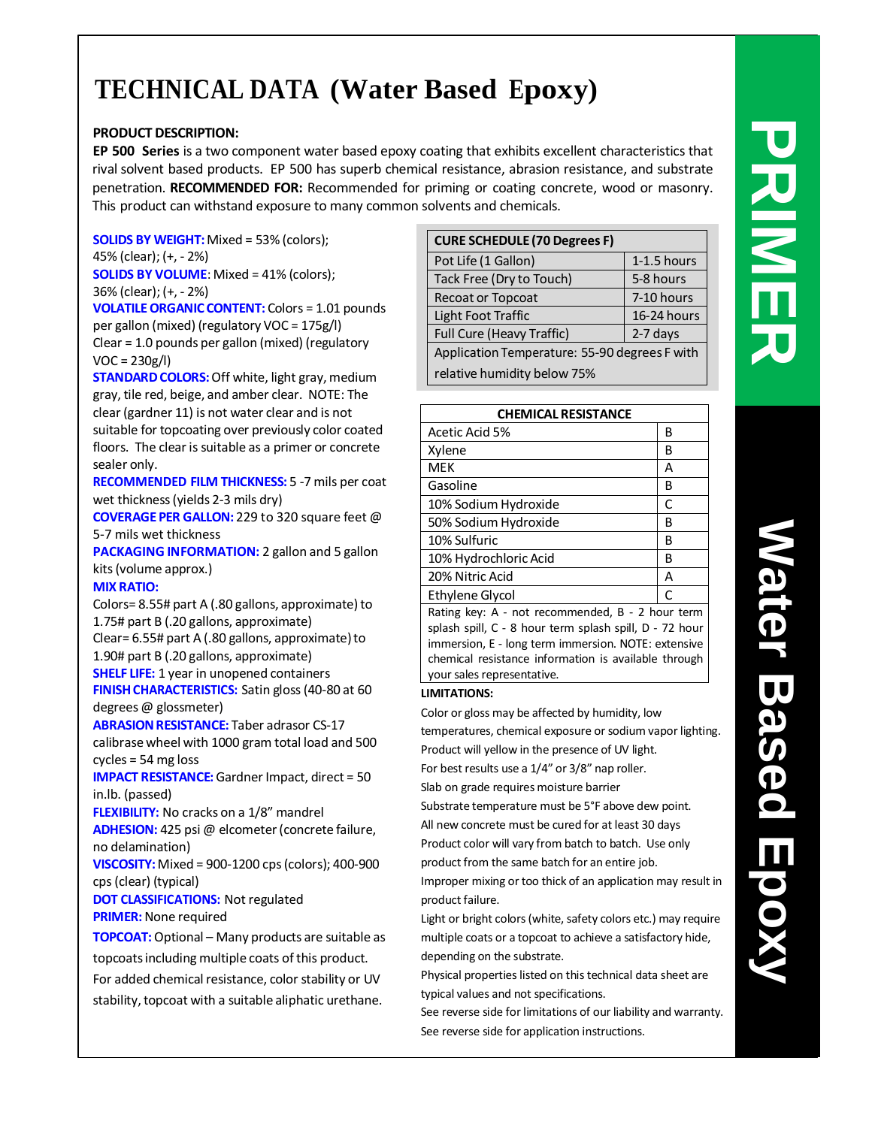# **TECHNICAL DATA (Water Based Epoxy)**

# **PRODUCT DESCRIPTION:**

**EP 500 Series** is a two component water based epoxy coating that exhibits excellent characteristics that rival solvent based products. EP 500 has superb chemical resistance, abrasion resistance, and substrate penetration. **RECOMMENDED FOR:** Recommended for priming or coating concrete, wood or masonry. This product can withstand exposure to many common solvents and chemicals.

**SOLIDS BY WEIGHT:**Mixed = 53% (colors); 45% (clear); (+, - 2%) **SOLIDS BY VOLUME**: Mixed = 41% (colors);

36% (clear); (+, - 2%) **VOLATILE ORGANIC CONTENT:** Colors = 1.01 pounds per gallon (mixed) (regulatory VOC = 175g/l) Clear = 1.0 pounds per gallon (mixed) (regulatory  $VOC = 230g/l$ 

**STANDARD COLORS:** Off white, light gray, medium gray, tile red, beige, and amber clear. NOTE: The clear (gardner 11) is not water clear and is not suitable for topcoating over previously color coated floors. The clear is suitable as a primer or concrete sealer only.

**RECOMMENDED FILM THICKNESS:** 5 -7 mils per coat wet thickness(yields 2-3 mils dry)

**COVERAGEPER GALLON:** 229 to 320 square feet @ 5-7 mils wet thickness

**PACKAGING INFORMATION:** 2 gallon and 5 gallon kits(volume approx.)

# **MIX RATIO:**

Colors= 8.55# part A (.80 gallons, approximate) to 1.75# part B (.20 gallons, approximate) Clear=  $6.55$ # part A (.80 gallons, approximate) to

1.90# part B (.20 gallons, approximate) **SHELF LIFE:** 1 year in unopened containers

**FINISH CHARACTERISTICS:** Satin gloss (40-80 at 60 degrees @ glossmeter)

**ABRASION RESISTANCE:** Taber adrasor CS-17 calibrase wheel with 1000 gram total load and 500 cycles = 54 mg loss

**IMPACT RESISTANCE:**Gardner Impact, direct = 50 in.lb. (passed)

**FLEXIBILITY:** No cracks on a 1/8" mandrel **ADHESION:** 425 psi @ elcometer(concrete failure,

no delamination) **VISCOSITY:**Mixed = 900-1200 cps(colors); 400-900

cps(clear) (typical)

**DOT CLASSIFICATIONS:** Not regulated **PRIMER:** None required

**TOPCOAT:**Optional – Many products are suitable as topcoatsincluding multiple coats of this product. For added chemical resistance, color stability or UV stability, topcoat with a suitable aliphatic urethane.

| <b>CURE SCHEDULE (70 Degrees F)</b>           |               |  |  |  |  |
|-----------------------------------------------|---------------|--|--|--|--|
| Pot Life (1 Gallon)                           | $1-1.5$ hours |  |  |  |  |
| Tack Free (Dry to Touch)                      | 5-8 hours     |  |  |  |  |
| <b>Recoat or Topcoat</b>                      | 7-10 hours    |  |  |  |  |
| Light Foot Traffic                            | 16-24 hours   |  |  |  |  |
| Full Cure (Heavy Traffic)                     | 2-7 days      |  |  |  |  |
| Application Temperature: 55-90 degrees F with |               |  |  |  |  |
| relative humidity below 75%                   |               |  |  |  |  |

| <b>CHEMICAL RESISTANCE</b>                       |   |  |  |  |
|--------------------------------------------------|---|--|--|--|
| Acetic Acid 5%                                   | В |  |  |  |
| Xylene                                           | В |  |  |  |
| MEK                                              | А |  |  |  |
| Gasoline                                         | В |  |  |  |
| 10% Sodium Hydroxide                             | C |  |  |  |
| 50% Sodium Hydroxide                             | В |  |  |  |
| 10% Sulfuric                                     | В |  |  |  |
| 10% Hydrochloric Acid                            | B |  |  |  |
| 20% Nitric Acid                                  | А |  |  |  |
| Ethylene Glycol                                  | C |  |  |  |
| Rating key: A - not recommended. B - 2 hour term |   |  |  |  |

Rating key: A - not recommended, B - 2 hour term splash spill, C - 8 hour term splash spill, D - 72 hour immersion, E - long term immersion. NOTE: extensive chemical resistance information is available through your sales representative.

# **LIMITATIONS:**

Color or gloss may be affected by humidity, low

temperatures, chemical exposure or sodium vapor lighting. Product will yellow in the presence of UV light.

For best results use a  $1/4$ " or  $3/8$ " nap roller.

Slab on grade requires moisture barrier

Substrate temperature must be 5°F above dew point. All new concrete must be cured for at least 30 days Product color will vary from batch to batch. Use only product from the same batch for an entire job.

Improper mixing or too thick of an application may result in product failure.

Light or bright colors(white, safety colors etc.) may require multiple coats or a topcoat to achieve a satisfactory hide, depending on the substrate.

Physical properties listed on this technical data sheet are typical values and not specifications.

See reverse side for limitations of our liability and warranty. See reverse side for application instructions.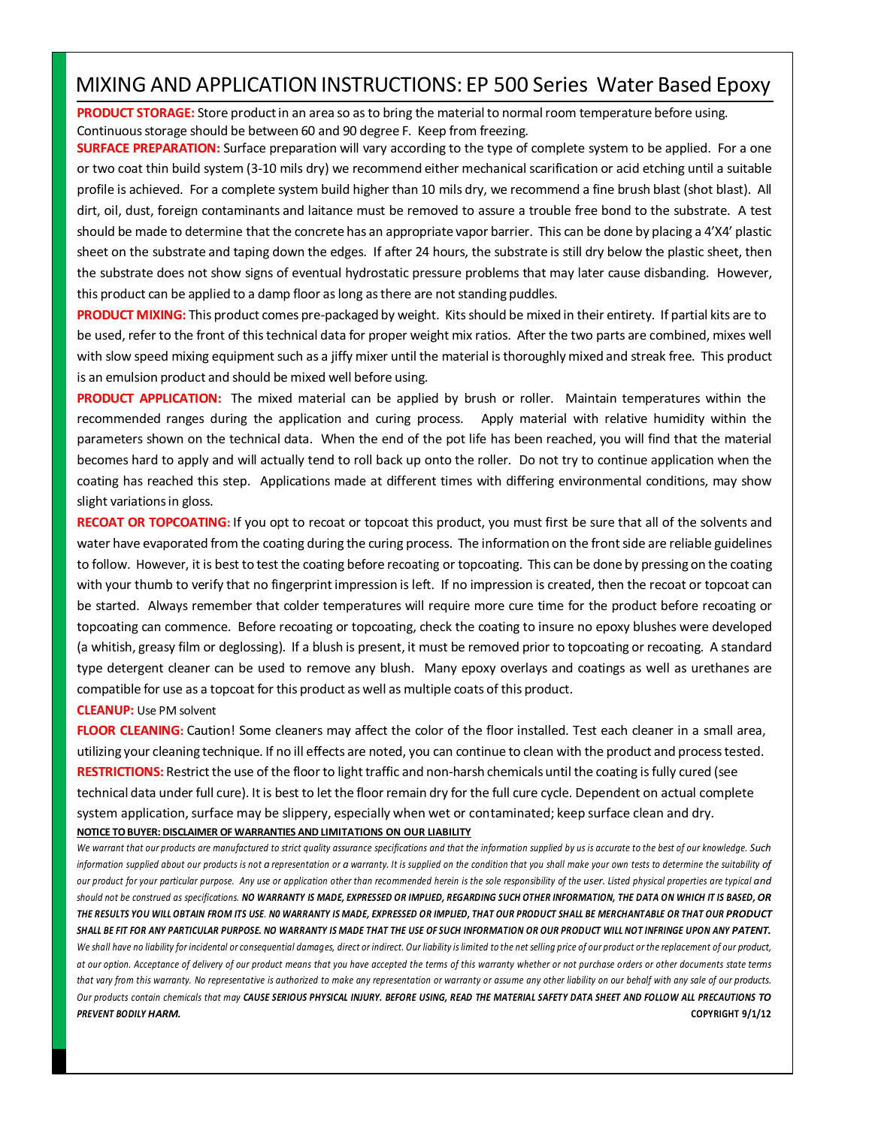# MIXING AND APPLICATIONINSTRUCTIONS: EP 500 Series Water Based Epoxy

**PRODUCT STORAGE:** Store product in an area so as to bring the material to normal room temperature before using. Continuous storage should be between 60 and 90 degree F. Keep from freezing.

**SURFACE PREPARATION:** Surface preparation will vary according to the type of complete system to be applied. For a one or two coat thin build system (3-10 mils dry) we recommend either mechanical scarification or acid etching until a suitable profile is achieved. For a complete system build higher than 10 mils dry, we recommend a fine brush blast (shot blast). All dirt, oil, dust, foreign contaminants and laitance must be removed to assure a trouble free bond to the substrate. A test should be made to determine that the concrete has an appropriate vapor barrier. This can be done by placing a 4'X4' plastic sheet on the substrate and taping down the edges. If after 24 hours, the substrate is still dry below the plastic sheet, then the substrate does not show signs of eventual hydrostatic pressure problems that may later cause disbanding. However, this product can be applied to a damp floor as long as there are not standing puddles.

**PRODUCT MIXING:** This product comes pre-packaged by weight. Kitsshould be mixed in their entirety. If partial kits are to be used, refer to the front of thistechnical data for proper weight mix ratios. After the two parts are combined, mixes well with slow speed mixing equipment such as a jiffy mixer until the material is thoroughly mixed and streak free. This product is an emulsion product and should be mixed well before using.

**PRODUCT APPLICATION:** The mixed material can be applied by brush or roller. Maintain temperatures within the recommended ranges during the application and curing process. Apply material with relative humidity within the parameters shown on the technical data. When the end of the pot life has been reached, you will find that the material becomes hard to apply and will actually tend to roll back up onto the roller. Do not try to continue application when the coating has reached this step. Applications made at different times with differing environmental conditions, may show slight variations in gloss.

**RECOAT OR TOPCOATING:** If you opt to recoat or topcoat this product, you must first be sure that all of the solvents and water have evaporated from the coating during the curing process. The information on the frontside are reliable guidelines to follow. However, it is best to test the coating before recoating or topcoating. This can be done by pressing on the coating with your thumb to verify that no fingerprint impression is left. If no impression is created, then the recoat or topcoat can be started. Always remember that colder temperatures will require more cure time for the product before recoating or topcoating can commence. Before recoating or topcoating, check the coating to insure no epoxy blushes were developed (a whitish, greasy film or deglossing). If a blush is present, it must be removed prior to topcoating or recoating. A standard type detergent cleaner can be used to remove any blush. Many epoxy overlays and coatings as well as urethanes are compatible for use as a topcoat for this product as well as multiple coats of this product.

### **CLEANUP:** Use PM solvent

**FLOOR CLEANING:** Caution! Some cleaners may affect the color of the floor installed. Test each cleaner in a small area, utilizing your cleaning technique. If no ill effects are noted, you can continue to clean with the product and processtested. **RESTRICTIONS:** Restrict the use of the floor to light traffic and non-harsh chemicals until the coating is fully cured (see technical data under full cure). Itis best to let the floor remain dry for the full cure cycle. Dependent on actual complete system application, surface may be slippery, especially when wet or contaminated; keep surface clean and dry. **NOTICE TOBUYER: DISCLAIMER OF WARRANTIES AND LIMITATIONS ON OUR LIABILITY**

We warrant that our products are manufactured to strict quality assurance specifications and that the information supplied by us is accurate to the best of our knowledge. Such information supplied about our products is not a representation or a warranty. It is supplied on the condition that you shall make your own tests to determine the suitability of our product for your particular purpose. Any use or application other than recommended herein is the sole responsibility of the user. Listed physical properties are typical and should not be construed as specifications. NO WARRANTY IS MADE, EXPRESSED OR IMPLIED, REGARDING SUCH OTHER INFORMATION, THE DATA ON WHICH IT IS BASED, OR THE RESULTS YOU WILL OBTAIN FROM ITS USE. NO WARRANTY IS MADE, EXPRESSED OR IMPLIED, THAT OUR PRODUCT SHALL BE MERCHANTABLE OR THAT OUR PRODUCT SHALL BE FIT FOR ANY PARTICULAR PURPOSE. NO WARRANTY IS MADE THAT THE USE OF SUCH INFORMATION OR OUR PRODUCT WILL NOT INFRINGE UPON ANY PATENT. We shall have no liability for incidental or consequential damages, direct or indirect. Our liability is limited to the net selling price of our product or the replacement of our product, at our option. Acceptance of delivery of our product means that you have accepted the terms of this warranty whether or not purchase orders or other documents state terms that vary from this warranty. No representative is authorized to make any representation or warranty or assume any other liability on our behalf with any sale of our products. Our products contain chemicals that may CAUSE SERIOUS PHYSICAL INJURY. BEFORE USING, READ THE MATERIAL SAFETY DATA SHEET AND FOLLOW ALL PRECAUTIONS TO *PREVENT BODILY HARM.* **COPYRIGHT 9/1/12**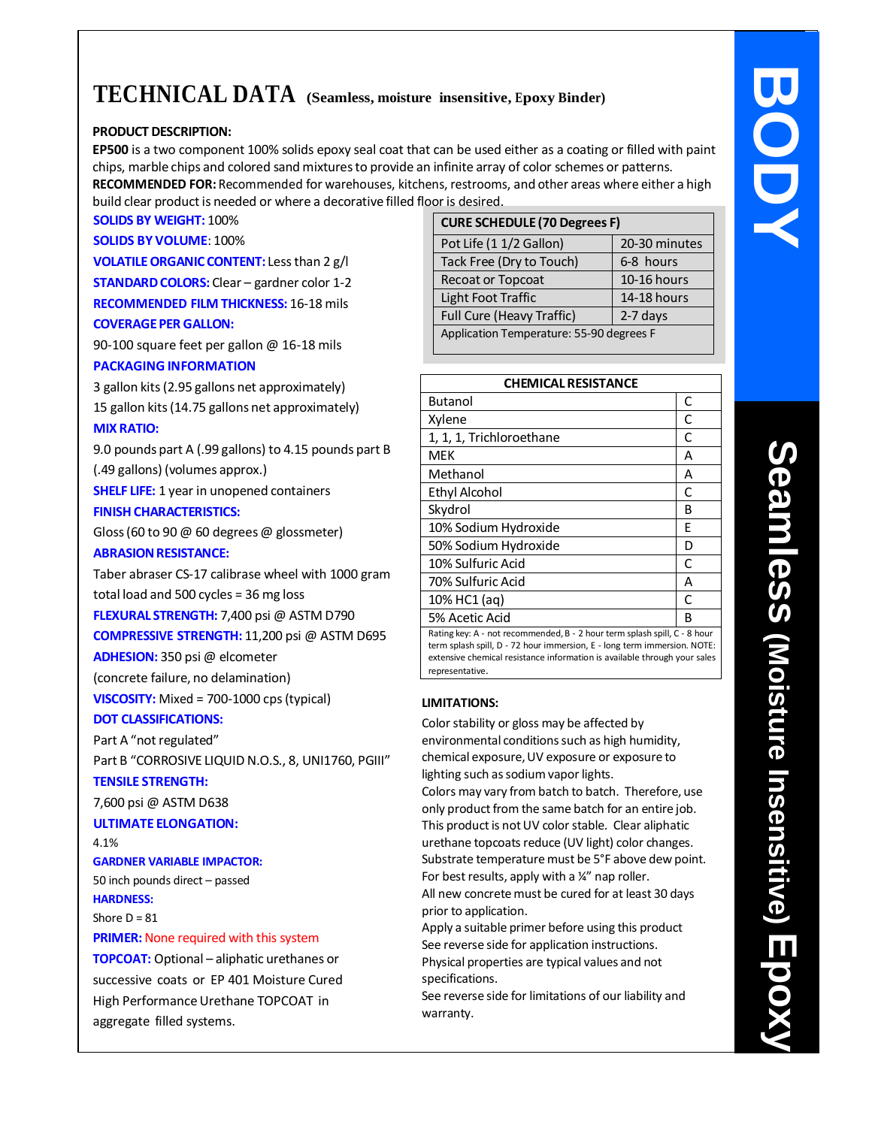# **TECHNICAL DATA (Seamless, moisture insensitive, Epoxy Binder)**

# **PRODUCT DESCRIPTION:**

**EP500** is a two component 100% solids epoxy seal coat that can be used either as a coating or filled with paint chips, marble chips and colored sand mixturesto provide an infinite array of color schemes or patterns. **RECOMMENDED FOR:** Recommended for warehouses, kitchens, restrooms, and other areas where either a high build clear product is needed or where a decorative filled floor is desired.

# **SOLIDS BY WEIGHT:** 100%

**SOLIDS BY VOLUME**: 100%

**VOLATILE ORGANIC CONTENT:** Less than 2 g/l **STANDARD COLORS:** Clear – gardner color 1-2 **RECOMMENDED FILM THICKNESS:** 16-18 mils **COVERAGEPER GALLON:**

90-100 square feet per gallon @ 16-18 mils **PACKAGING INFORMATION**

3 gallon kits(2.95 gallons net approximately) 15 gallon kits(14.75 gallons net approximately) **MIX RATIO:**

9.0 pounds part A (.99 gallons) to 4.15 pounds part B

(.49 gallons) (volumes approx.) **SHELF LIFE:** 1 year in unopened containers

**FINISH CHARACTERISTICS:** 

Gloss(60 to 90 @ 60 degrees @ glossmeter)

# **ABRASION RESISTANCE:**

Taber abraser CS-17 calibrase wheel with 1000 gram total load and 500 cycles = 36 mg loss **FLEXURAL STRENGTH:** 7,400 psi @ ASTM D790

**COMPRESSIVE STRENGTH:** 11,200 psi @ ASTM D695

**ADHESION:** 350 psi @ elcometer

(concrete failure, no delamination)

**VISCOSITY:** Mixed = 700-1000 cps(typical)

# **DOT CLASSIFICATIONS:**

Part A "not regulated"

Part B "CORROSIVE LIQUID N.O.S., 8, UNI1760, PGIII"

# **TENSILE STRENGTH:**

7,600 psi @ ASTM D638

# **ULTIMATE ELONGATION:**

4.1%

**GARDNER VARIABLE IMPACTOR:** 50 inch pounds direct – passed

**HARDNESS:**

Shore  $D = 81$ 

# **PRIMER:** None required with this system

**TOPCOAT:** Optional – aliphatic urethanes or successive coats or EP 401 Moisture Cured High Performance Urethane TOPCOAT in aggregate filled systems.

| <b>CURE SCHEDULE (70 Degrees F)</b>      |               |  |  |  |  |
|------------------------------------------|---------------|--|--|--|--|
| Pot Life (1 1/2 Gallon)                  | 20-30 minutes |  |  |  |  |
| Tack Free (Dry to Touch)                 | 6-8 hours     |  |  |  |  |
| Recoat or Topcoat                        | 10-16 hours   |  |  |  |  |
| Light Foot Traffic                       | 14-18 hours   |  |  |  |  |
| Full Cure (Heavy Traffic)<br>2-7 days    |               |  |  |  |  |
| Application Temperature: 55-90 degrees F |               |  |  |  |  |
|                                          |               |  |  |  |  |

| <b>CHEMICAL RESISTANCE</b>                                                |   |  |  |  |
|---------------------------------------------------------------------------|---|--|--|--|
| <b>Butanol</b>                                                            | C |  |  |  |
| Xylene                                                                    | C |  |  |  |
| 1, 1, 1, Trichloroethane                                                  | C |  |  |  |
| MEK                                                                       | А |  |  |  |
| Methanol                                                                  | А |  |  |  |
| Ethyl Alcohol                                                             | C |  |  |  |
| Skydrol                                                                   | в |  |  |  |
| 10% Sodium Hydroxide                                                      | F |  |  |  |
| 50% Sodium Hydroxide                                                      | D |  |  |  |
| 10% Sulfuric Acid                                                         | C |  |  |  |
| 70% Sulfuric Acid                                                         | А |  |  |  |
| 10% HC1 (aq)                                                              | C |  |  |  |
| 5% Acetic Acid                                                            | B |  |  |  |
| Rating key: A - not recommended, B - 2 hour term splash spill, C - 8 hour |   |  |  |  |

term splash spill, D - 72 hour immersion, E - long term immersion. NOTE: extensive chemical resistance information is available through your sales representative.

# **LIMITATIONS:**

Color stability or gloss may be affected by environmental conditions such as high humidity, chemical exposure,UV exposure or exposure to lighting such as sodium vapor lights.

Colors may vary from batch to batch. Therefore, use only product from the same batch for an entire job. This product is not UV color stable. Clear aliphatic urethane topcoats reduce (UV light) color changes. Substrate temperature must be 5°F above dew point. For best results, apply with a ¼" nap roller.

All new concrete must be cured for at least 30 days prior to application.

Apply a suitable primer before using this product See reverse side for application instructions. Physical properties are typical values and not specifications.

See reverse side for limitations of our liability and warranty.

**y**

**BODY**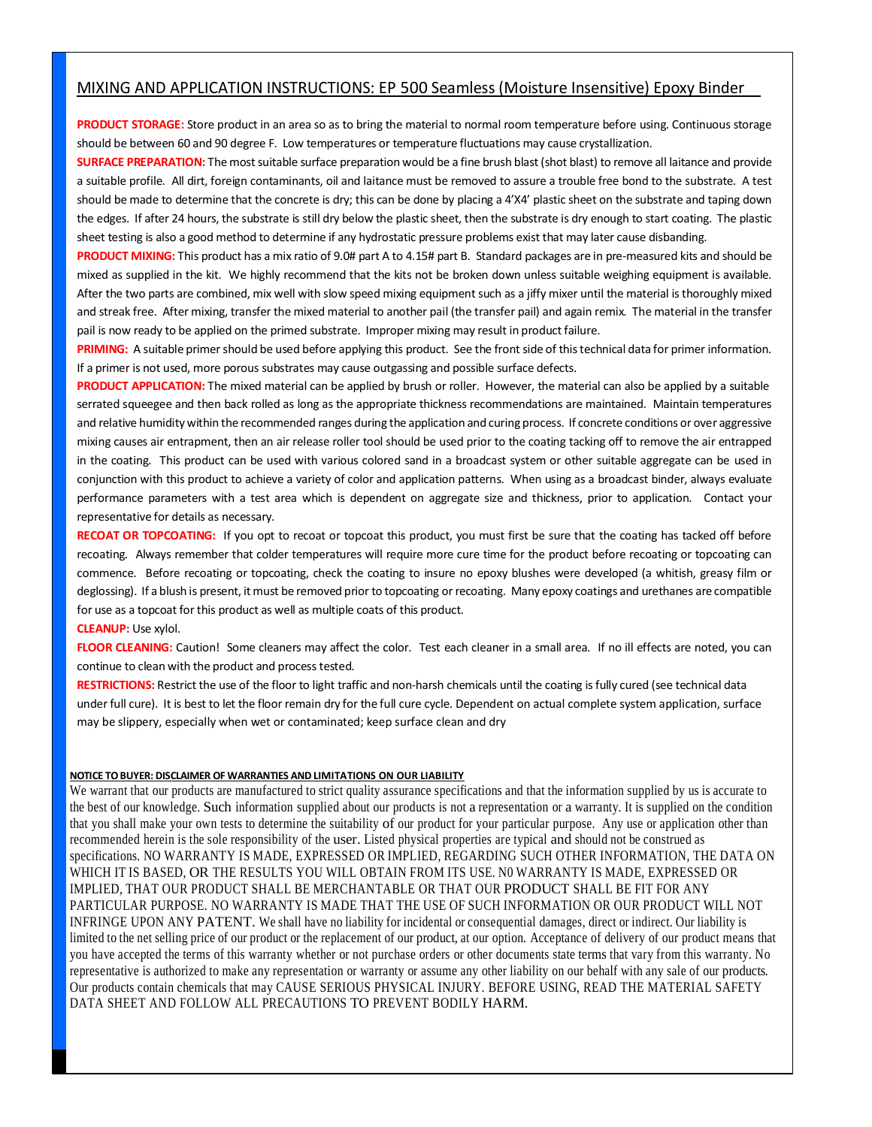# MIXING AND APPLICATION INSTRUCTIONS: EP 500 Seamless (Moisture Insensitive) Epoxy Binder

**PRODUCT STORAGE:** Store product in an area so as to bring the material to normal room temperature before using. Continuous storage should be between 60 and 90 degree F. Low temperatures or temperature fluctuations may cause crystallization.

**SURFACE PREPARATION:** The most suitable surface preparation would be a fine brush blast (shot blast) to remove all laitance and provide a suitable profile. All dirt, foreign contaminants, oil and laitance must be removed to assure a trouble free bond to the substrate. A test should be made to determine that the concrete is dry; this can be done by placing a 4'X4' plastic sheet on the substrate and taping down the edges. If after 24 hours, the substrate is still dry below the plastic sheet, then the substrate is dry enough to start coating. The plastic sheet testing is also a good method to determine if any hydrostatic pressure problems exist that may later cause disbanding.

**PRODUCT MIXING:** This product has a mix ratio of 9.0# part A to 4.15# part B. Standard packages are in pre-measured kits and should be mixed as supplied in the kit. We highly recommend that the kits not be broken down unless suitable weighing equipment is available. After the two parts are combined, mix well with slow speed mixing equipment such as a jiffy mixer until the material is thoroughly mixed and streak free. After mixing, transfer the mixed material to another pail (the transfer pail) and again remix. The material in the transfer pail is now ready to be applied on the primed substrate. Improper mixing may result in product failure.

**PRIMING:** A suitable primer should be used before applying this product. See the front side of this technical data for primer information. If a primer is not used, more porous substrates may cause outgassing and possible surface defects.

**PRODUCT APPLICATION:** The mixed material can be applied by brush or roller. However, the material can also be applied by a suitable serrated squeegee and then back rolled as long as the appropriate thickness recommendations are maintained. Maintain temperatures and relative humidity within the recommended ranges during the application and curing process. If concrete conditions or over aggressive mixing causes air entrapment, then an air release roller tool should be used prior to the coating tacking off to remove the air entrapped in the coating. This product can be used with various colored sand in a broadcast system or other suitable aggregate can be used in conjunction with this product to achieve a variety of color and application patterns. When using as a broadcast binder, always evaluate performance parameters with a test area which is dependent on aggregate size and thickness, prior to application. Contact your representative for details as necessary.

**RECOAT OR TOPCOATING:** If you opt to recoat or topcoat this product, you must first be sure that the coating has tacked off before recoating. Always remember that colder temperatures will require more cure time for the product before recoating or topcoating can commence. Before recoating or topcoating, check the coating to insure no epoxy blushes were developed (a whitish, greasy film or deglossing). If a blush is present, it must be removed prior to topcoating or recoating. Many epoxy coatings and urethanes are compatible for use as a topcoat for this product as well as multiple coats of this product.

**CLEANUP:** Use xylol.

FLOOR CLEANING: Caution! Some cleaners may affect the color. Test each cleaner in a small area. If no ill effects are noted, you can continue to clean with the product and process tested.

RESTRICTIONS: Restrict the use of the floor to light traffic and non-harsh chemicals until the coating is fully cured (see technical data under full cure). It is best to let the floor remain dry for the full cure cycle. Dependent on actual complete system application, surface may be slippery, especially when wet or contaminated; keep surface clean and dry

### **NOTICE TOBUYER: DISCLAIMER OF WARRANTIES AND LIMITATIONS ON OUR LIABILITY**

We warrant that our products are manufactured to strict quality assurance specifications and that the information supplied by us is accurate to the best of our knowledge. Such information supplied about our products is not a representation or a warranty. It is supplied on the condition that you shall make your own tests to determine the suitability of our product for your particular purpose. Any use or application other than recommended herein is the sole responsibility of the user. Listed physical properties are typical and should not be construed as specifications. NO WARRANTY IS MADE, EXPRESSED OR IMPLIED, REGARDING SUCH OTHER INFORMATION, THE DATA ON WHICH IT IS BASED, OR THE RESULTS YOU WILL OBTAIN FROM ITS USE. N0 WARRANTY IS MADE, EXPRESSED OR IMPLIED, THAT OUR PRODUCT SHALL BE MERCHANTABLE OR THAT OUR PRODUCT SHALL BE FIT FOR ANY PARTICULAR PURPOSE. NO WARRANTY IS MADE THAT THE USE OF SUCH INFORMATION OR OUR PRODUCT WILL NOT INFRINGE UPON ANY PATENT. We shall have no liability for incidental or consequential damages, direct or indirect. Our liability is limited to the net selling price of our product or the replacement of our product, at our option. Acceptance of delivery of our product means that you have accepted the terms of this warranty whether or not purchase orders or other documents state terms that vary from this warranty. No representative is authorized to make any representation or warranty or assume any other liability on our behalf with any sale of our products. Our products contain chemicals that may CAUSE SERIOUS PHYSICAL INJURY. BEFORE USING, READ THE MATERIAL SAFETY DATA SHEET AND FOLLOW ALL PRECAUTIONS TO PREVENT BODILY HARM.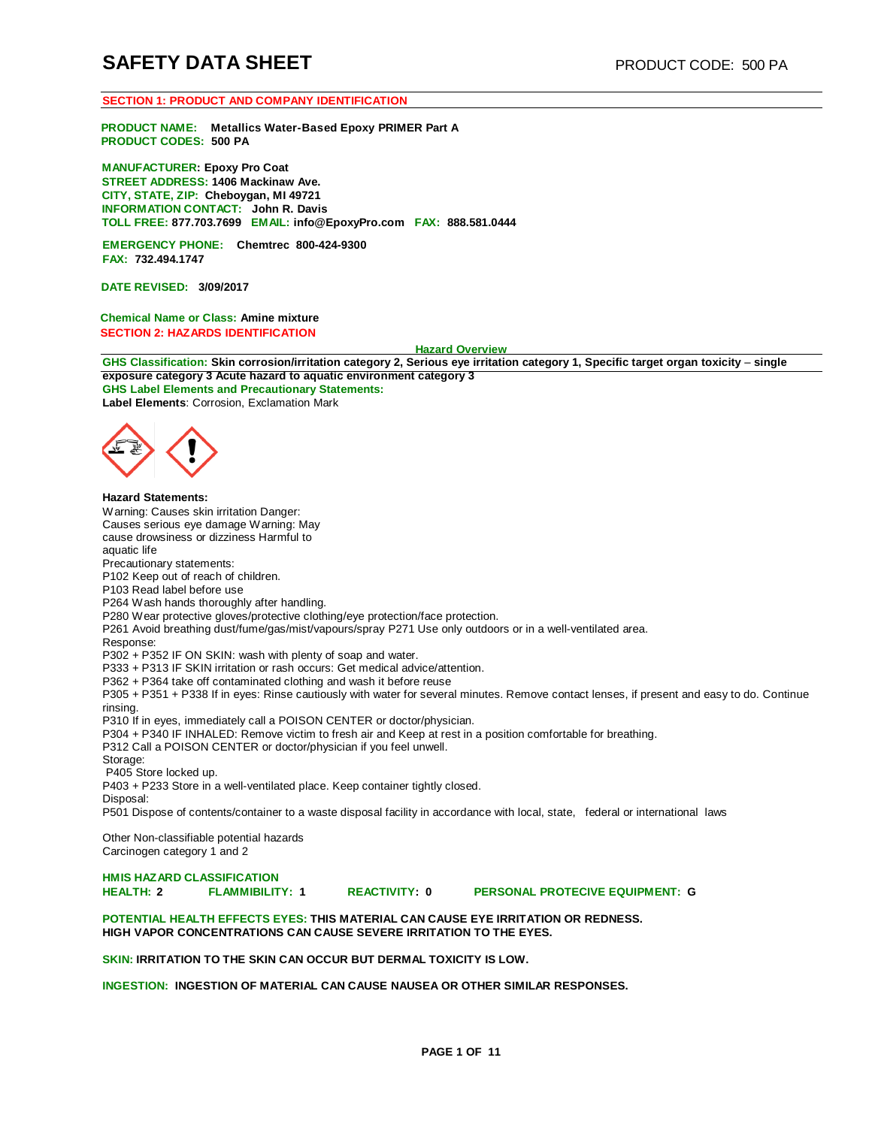#### **SECTION 1: PRODUCT AND COMPANY IDENTIFICATION**

**PRODUCT NAME: Metallics Water-Based Epoxy PRIMER Part A PRODUCT CODES: 500 PA**

**MANUFACTURER: Epoxy Pro Coat STREET ADDRESS: 1406 Mackinaw Ave. CITY, STATE, ZIP: Cheboygan, MI 49721 INFORMATION CONTACT: John R. Davis TOLL FREE: 877.703.7699 EMAIL: [info@EpoxyPro.com](mailto:info@EpoxyPro.com) FAX: 888.581.0444**

**EMERGENCY PHONE: Chemtrec 800-424-9300 FAX: 732.494.1747**

**DATE REVISED: 3/09/2017**

**Chemical Name or Class: Amine mixture SECTION 2: HAZARDS IDENTIFICATION**

#### **Hazard Overview**

GHS Classification: Skin corrosion/irritation category 2, Serious eye irritation category 1, Specific target organ toxicity - single **exposure category 3 Acute hazard to aquatic environment category 3 GHS Label Elements and Precautionary Statements:** 

**Label Elements**: Corrosion, Exclamation Mark



**Hazard Statements:** Warning: Causes skin irritation Danger: Causes serious eye damage Warning: May cause drowsiness or dizziness Harmful to aquatic life Precautionary statements: P102 Keep out of reach of children. P103 Read label before use P264 Wash hands thoroughly after handling. P280 Wear protective gloves/protective clothing/eye protection/face protection. P261 Avoid breathing dust/fume/gas/mist/vapours/spray P271 Use only outdoors or in a well-ventilated area. Response: P302 + P352 IF ON SKIN: wash with plenty of soap and water. P333 + P313 IF SKIN irritation or rash occurs: Get medical advice/attention. P362 + P364 take off contaminated clothing and wash it before reuse P305 + P351 + P338 If in eyes: Rinse cautiously with water for several minutes. Remove contact lenses, if present and easy to do. Continue rinsing. P310 If in eyes, immediately call a POISON CENTER or doctor/physician. P304 + P340 IF INHALED: Remove victim to fresh air and Keep at rest in a position comfortable for breathing. P312 Call a POISON CENTER or doctor/physician if you feel unwell. Storage: P405 Store locked up. P403 + P233 Store in a well-ventilated place. Keep container tightly closed. Disposal: P501 Dispose of contents/container to a waste disposal facility in accordance with local, state, federal or international laws

Other Non-classifiable potential hazards Carcinogen category 1 and 2

**HMIS HAZARD CLASSIFICATION**

**HEACTIVITY: 0 PERSONAL PROTECIVE EQUIPMENT: G** 

#### **POTENTIAL HEALTH EFFECTS EYES: THIS MATERIAL CAN CAUSE EYE IRRITATION OR REDNESS. HIGH VAPOR CONCENTRATIONS CAN CAUSE SEVERE IRRITATION TO THE EYES.**

**SKIN: IRRITATION TO THE SKIN CAN OCCUR BUT DERMAL TOXICITY IS LOW.** 

**INGESTION: INGESTION OF MATERIAL CAN CAUSE NAUSEA OR OTHER SIMILAR RESPONSES.**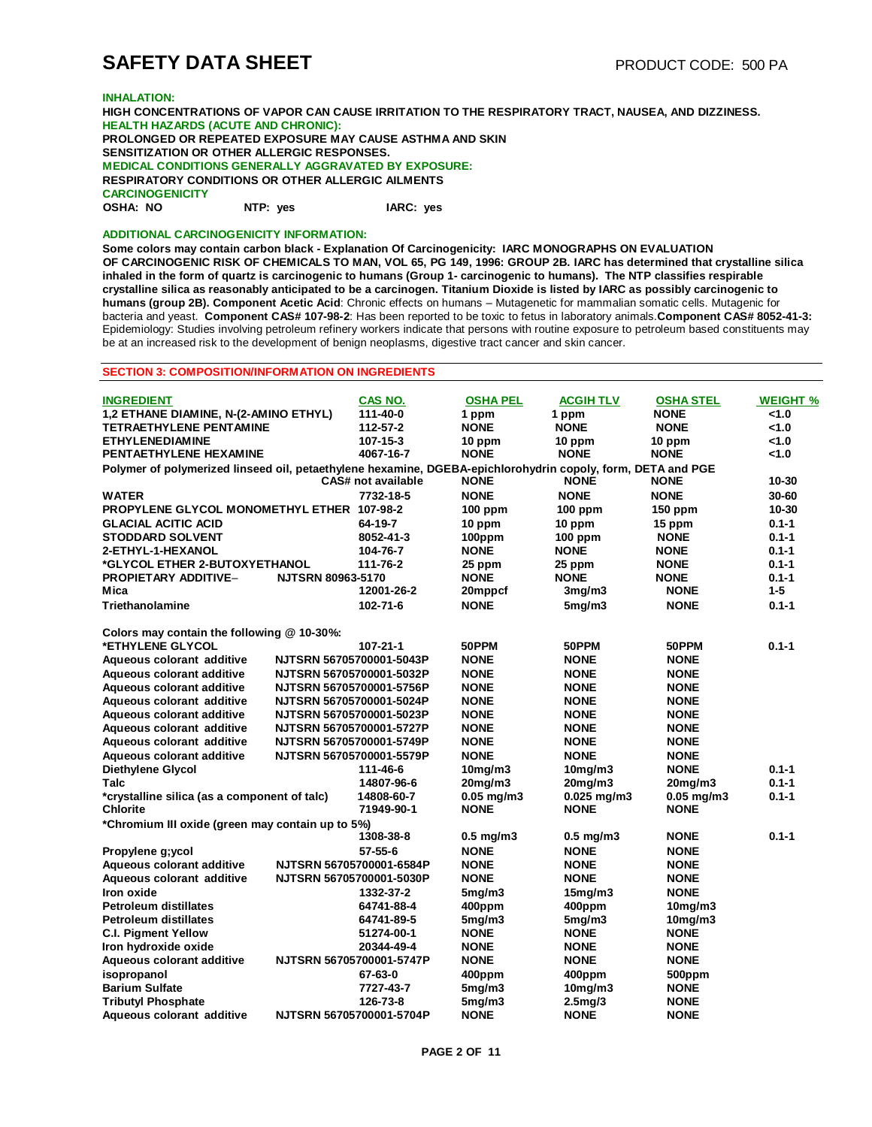# **SAFETY DATA SHEET** PRODUCT CODE: 500 PA

#### **INHALATION:**

**HIGH CONCENTRATIONS OF VAPOR CAN CAUSE IRRITATION TO THE RESPIRATORY TRACT, NAUSEA, AND DIZZINESS. HEALTH HAZARDS (ACUTE AND CHRONIC): PROLONGED OR REPEATED EXPOSURE MAY CAUSE ASTHMA AND SKIN SENSITIZATION OR OTHER ALLERGIC RESPONSES. MEDICAL CONDITIONS GENERALLY AGGRAVATED BY EXPOSURE: RESPIRATORY CONDITIONS OR OTHER ALLERGIC AILMENTS CARCINOGENICITY OSHA: NO NTP: yes IARC: yes**

### **ADDITIONAL CARCINOGENICITY INFORMATION:**

**Some colors may contain carbon black - Explanation Of Carcinogenicity: IARC MONOGRAPHS ON EVALUATION OF CARCINOGENIC RISK OF CHEMICALS TO MAN, VOL 65, PG 149, 1996: GROUP 2B. IARC has determined that crystalline silica inhaled in the form of quartz is carcinogenic to humans (Group 1- carcinogenic to humans). The NTP classifies respirable crystalline silica as reasonably anticipated to be a carcinogen. Titanium Dioxide is listed by IARC as possibly carcinogenic to humans (group 2B). Component Acetic Acid**: Chronic effects on humans – Mutagenetic for mammalian somatic cells. Mutagenic for bacteria and yeast. **Component CAS# 107-98-2**: Has been reported to be toxic to fetus in laboratory animals.**Component CAS# 8052-41-3:**  Epidemiology: Studies involving petroleum refinery workers indicate that persons with routine exposure to petroleum based constituents may be at an increased risk to the development of benign neoplasms, digestive tract cancer and skin cancer.

#### **SECTION 3: COMPOSITION/INFORMATION ON INGREDIENTS**

| <b>INGREDIENT</b>                                                                                           |                          | CAS NO.                   | <b>OSHA PEL</b> | ACGIH TLV            | <b>OSHA STEL</b>     | <b>WEIGHT %</b> |
|-------------------------------------------------------------------------------------------------------------|--------------------------|---------------------------|-----------------|----------------------|----------------------|-----------------|
| 1,2 ETHANE DIAMINE, N-(2-AMINO ETHYL)                                                                       |                          | 111-40-0                  | 1 ppm           | 1 ppm                | <b>NONE</b>          | < 1.0           |
| <b>TETRAETHYLENE PENTAMINE</b>                                                                              |                          | 112-57-2                  | <b>NONE</b>     | <b>NONE</b>          | <b>NONE</b>          | 1.0             |
| <b>ETHYLENEDIAMINE</b>                                                                                      |                          | 107-15-3                  | 10 ppm          | 10 ppm               | 10 ppm               | 1.0             |
| PENTAETHYLENE HEXAMINE                                                                                      |                          | 4067-16-7                 | <b>NONE</b>     | <b>NONE</b>          | <b>NONE</b>          | < 1.0           |
| Polymer of polymerized linseed oil, petaethylene hexamine, DGEBA-epichlorohydrin copoly, form, DETA and PGE |                          | <b>CAS# not available</b> | <b>NONE</b>     | <b>NONE</b>          |                      | 10-30           |
|                                                                                                             |                          |                           |                 |                      | <b>NONE</b>          |                 |
| <b>WATER</b>                                                                                                |                          | 7732-18-5                 | <b>NONE</b>     | <b>NONE</b>          | <b>NONE</b>          | 30-60           |
| PROPYLENE GLYCOL MONOMETHYL ETHER 107-98-2                                                                  |                          |                           | $100$ ppm       | $100$ ppm            | $150$ ppm            | 10-30           |
| <b>GLACIAL ACITIC ACID</b>                                                                                  |                          | 64-19-7                   | 10 ppm          | 10 ppm               | 15 ppm               | $0.1 - 1$       |
| <b>STODDARD SOLVENT</b>                                                                                     |                          | 8052-41-3                 | 100ppm          | $100$ ppm            | <b>NONE</b>          | $0.1 - 1$       |
| 2-ETHYL-1-HEXANOL                                                                                           |                          | 104-76-7                  | <b>NONE</b>     | <b>NONE</b>          | NONE                 | $0.1 - 1$       |
| *GLYCOL ETHER 2-BUTOXYETHANOL                                                                               |                          | 111-76-2                  | 25 ppm          | 25 ppm               | <b>NONE</b>          | $0.1 - 1$       |
| <b>PROPIETARY ADDITIVE-</b>                                                                                 | <b>NJTSRN 80963-5170</b> |                           | <b>NONE</b>     | <b>NONE</b>          | <b>NONE</b>          | $0.1 - 1$       |
| Mica                                                                                                        |                          | 12001-26-2                | 20mppcf         | 3mg/m3               | <b>NONE</b>          | $1 - 5$         |
| Triethanolamine                                                                                             |                          | 102-71-6                  | <b>NONE</b>     | 5mg/m3               | <b>NONE</b>          | $0.1 - 1$       |
| Colors may contain the following @ 10-30%:                                                                  |                          |                           |                 |                      |                      |                 |
| *ETHYLENE GLYCOL                                                                                            |                          | 107-21-1                  | 50PPM           | 50PPM                | 50PPM                | $0.1 - 1$       |
| Aqueous colorant additive                                                                                   | NJTSRN 56705700001-5043P |                           | <b>NONE</b>     | <b>NONE</b>          | <b>NONE</b>          |                 |
| Aqueous colorant additive                                                                                   | NJTSRN 56705700001-5032P |                           | <b>NONE</b>     | <b>NONE</b>          | <b>NONE</b>          |                 |
| <b>Aqueous colorant additive</b>                                                                            | NJTSRN 56705700001-5756P |                           | <b>NONE</b>     | <b>NONE</b>          | <b>NONE</b>          |                 |
| Aqueous colorant additive                                                                                   | NJTSRN 56705700001-5024P |                           | <b>NONE</b>     | <b>NONE</b>          | <b>NONE</b>          |                 |
| <b>Aqueous colorant additive</b>                                                                            | NJTSRN 56705700001-5023P |                           | <b>NONE</b>     | <b>NONE</b>          | <b>NONE</b>          |                 |
| Aqueous colorant additive                                                                                   | NJTSRN 56705700001-5727P |                           | <b>NONE</b>     | <b>NONE</b>          | <b>NONE</b>          |                 |
| Aqueous colorant additive                                                                                   | NJTSRN 56705700001-5749P |                           | <b>NONE</b>     | <b>NONE</b>          | <b>NONE</b>          |                 |
| <b>Aqueous colorant additive</b>                                                                            | NJTSRN 56705700001-5579P |                           | <b>NONE</b>     | <b>NONE</b>          | <b>NONE</b>          |                 |
| <b>Diethylene Glycol</b>                                                                                    |                          | 111-46-6                  | $10$ mg/m $3$   | 10mg/m3              | <b>NONE</b>          | $0.1 - 1$       |
| Talc                                                                                                        |                          | 14807-96-6                | $20$ mg/m $3$   | $20$ mg/m $3$        | 20mg/m3              | $0.1 - 1$       |
| *crystalline silica (as a component of talc)                                                                |                          | 14808-60-7                | $0.05$ mg/m $3$ | $0.025$ mg/m3        | $0.05$ mg/m3         | $0.1 - 1$       |
| <b>Chlorite</b>                                                                                             |                          | 71949-90-1                | <b>NONE</b>     | <b>NONE</b>          | <b>NONE</b>          |                 |
| *Chromium III oxide (green may contain up to 5%)                                                            |                          |                           |                 |                      |                      |                 |
|                                                                                                             |                          | 1308-38-8                 | $0.5$ mg/m3     | $0.5$ mg/m3          | <b>NONE</b>          | $0.1 - 1$       |
| Propylene g;ycol                                                                                            |                          | 57-55-6                   | <b>NONE</b>     | <b>NONE</b>          | <b>NONE</b>          |                 |
| <b>Aqueous colorant additive</b>                                                                            | NJTSRN 56705700001-6584P |                           | <b>NONE</b>     | <b>NONE</b>          | <b>NONE</b>          |                 |
| Aqueous colorant additive                                                                                   | NJTSRN 56705700001-5030P |                           | <b>NONE</b>     | <b>NONE</b>          | <b>NONE</b>          |                 |
| Iron oxide                                                                                                  |                          | 1332-37-2                 | 5mg/m3          | 15mg/m3              | <b>NONE</b>          |                 |
| <b>Petroleum distillates</b>                                                                                |                          | 64741-88-4                | 400ppm          | 400ppm               | 10 <sub>m</sub> q/m3 |                 |
| <b>Petroleum distillates</b>                                                                                |                          | 64741-89-5                | 5mg/m3          | 5mg/m3               | $10$ mg/m $3$        |                 |
| <b>C.I. Pigment Yellow</b>                                                                                  |                          | 51274-00-1                | <b>NONE</b>     | <b>NONE</b>          | <b>NONE</b>          |                 |
| Iron hydroxide oxide                                                                                        |                          | 20344-49-4                | <b>NONE</b>     | <b>NONE</b>          | <b>NONE</b>          |                 |
| Aqueous colorant additive                                                                                   | NJTSRN 56705700001-5747P |                           | <b>NONE</b>     | <b>NONE</b>          | <b>NONE</b>          |                 |
| isopropanol                                                                                                 |                          | 67-63-0                   | 400ppm          | 400ppm               | 500ppm               |                 |
| <b>Barium Sulfate</b>                                                                                       |                          | 7727-43-7                 | 5mg/m3          | 10 <sub>m</sub> q/m3 | <b>NONE</b>          |                 |
| <b>Tributyl Phosphate</b>                                                                                   |                          | 126-73-8                  | 5mg/m3          | 2.5mg/3              | <b>NONE</b>          |                 |
| Aqueous colorant additive                                                                                   | NJTSRN 56705700001-5704P |                           | <b>NONE</b>     | <b>NONE</b>          | <b>NONE</b>          |                 |
|                                                                                                             |                          |                           |                 |                      |                      |                 |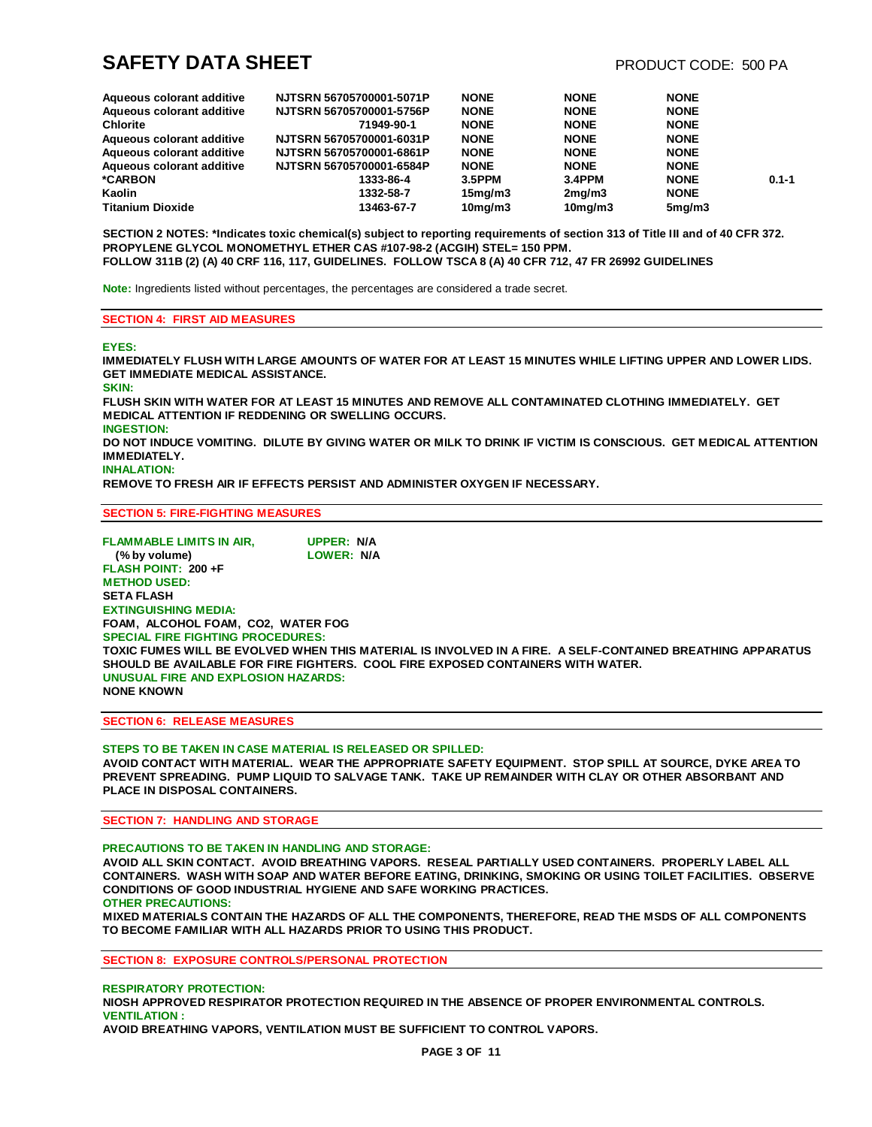| Aqueous colorant additive | NJTSRN 56705700001-5071P | <b>NONE</b>          | <b>NONE</b>   | <b>NONE</b> |           |
|---------------------------|--------------------------|----------------------|---------------|-------------|-----------|
| Aqueous colorant additive | NJTSRN 56705700001-5756P | <b>NONE</b>          | <b>NONE</b>   | <b>NONE</b> |           |
| <b>Chlorite</b>           | 71949-90-1               | <b>NONE</b>          | <b>NONE</b>   | <b>NONE</b> |           |
| Aqueous colorant additive | NJTSRN 56705700001-6031P | <b>NONE</b>          | <b>NONE</b>   | <b>NONE</b> |           |
| Aqueous colorant additive | NJTSRN 56705700001-6861P | <b>NONE</b>          | <b>NONE</b>   | <b>NONE</b> |           |
| Aqueous colorant additive | NJTSRN 56705700001-6584P | <b>NONE</b>          | <b>NONE</b>   | <b>NONE</b> |           |
| *CARBON                   | 1333-86-4                | 3.5PPM               | 3.4PPM        | <b>NONE</b> | $0.1 - 1$ |
| Kaolin                    | 1332-58-7                | 15 <sub>mq</sub> /m3 | 2mg/m3        | <b>NONE</b> |           |
| <b>Titanium Dioxide</b>   | 13463-67-7               | 10 <sub>mg</sub> /m3 | $10$ mg/m $3$ | 5mg/m3      |           |

SECTION 2 NOTES: \*Indicates toxic chemical(s) subject to reporting requirements of section 313 of Title III and of 40 CFR 372. **PROPYLENE GLYCOL MONOMETHYL ETHER CAS #107-98-2 (ACGIH) STEL= 150 PPM. FOLLOW 311B (2) (A) 40 CRF 116, 117, GUIDELINES. FOLLOW TSCA 8 (A) 40 CFR 712, 47 FR 26992 GUIDELINES** 

**Note:** Ingredients listed without percentages, the percentages are considered a trade secret.

#### **SECTION 4: FIRST AID MEASURES**

#### **EYES:**

**IMMEDIATELY FLUSH WITH LARGE AMOUNTS OF WATER FOR AT LEAST 15 MINUTES WHILE LIFTING UPPER AND LOWER LIDS. GET IMMEDIATE MEDICAL ASSISTANCE. SKIN: FLUSH SKIN WITH WATER FOR AT LEAST 15 MINUTES AND REMOVE ALL CONTAMINATED CLOTHING IMMEDIATELY. GET MEDICAL ATTENTION IF REDDENING OR SWELLING OCCURS. INGESTION: DO NOT INDUCE VOMITING. DILUTE BY GIVING WATER OR MILK TO DRINK IF VICTIM IS CONSCIOUS. GET MEDICAL ATTENTION IMMEDIATELY.**

# **INHALATION:**

**REMOVE TO FRESH AIR IF EFFECTS PERSIST AND ADMINISTER OXYGEN IF NECESSARY.**

#### **SECTION 5: FIRE-FIGHTING MEASURES**

**FLAMMABLE LIMITS IN AIR, UPPER: N/A (% by volume) LOWER: N/A FLASH POINT: 200 +F METHOD USED: SETA FLASH EXTINGUISHING MEDIA: FOAM, ALCOHOL FOAM, CO2, WATER FOG SPECIAL FIRE FIGHTING PROCEDURES: TOXIC FUMES WILL BE EVOLVED WHEN THIS MATERIAL IS INVOLVED IN A FIRE. A SELF-CONTAINED BREATHING APPARATUS SHOULD BE AVAILABLE FOR FIRE FIGHTERS. COOL FIRE EXPOSED CONTAINERS WITH WATER. UNUSUAL FIRE AND EXPLOSION HAZARDS: NONE KNOWN**

#### **SECTION 6: RELEASE MEASURES**

#### **STEPS TO BE TAKEN IN CASE MATERIAL IS RELEASED OR SPILLED: AVOID CONTACT WITH MATERIAL. WEAR THE APPROPRIATE SAFETY EQUIPMENT. STOP SPILL AT SOURCE, DYKE AREA TO PREVENT SPREADING. PUMP LIQUID TO SALVAGE TANK. TAKE UP REMAINDER WITH CLAY OR OTHER ABSORBANT AND PLACE IN DISPOSAL CONTAINERS.**

#### **SECTION 7: HANDLING AND STORAGE**

#### **PRECAUTIONS TO BE TAKEN IN HANDLING AND STORAGE:**

**AVOID ALL SKIN CONTACT. AVOID BREATHING VAPORS. RESEAL PARTIALLY USED CONTAINERS. PROPERLY LABEL ALL CONTAINERS. WASH WITH SOAP AND WATER BEFORE EATING, DRINKING, SMOKING OR USING TOILET FACILITIES. OBSERVE CONDITIONS OF GOOD INDUSTRIAL HYGIENE AND SAFE WORKING PRACTICES. OTHER PRECAUTIONS:**

**MIXED MATERIALS CONTAIN THE HAZARDS OF ALL THE COMPONENTS, THEREFORE, READ THE MSDS OF ALL COMPONENTS TO BECOME FAMILIAR WITH ALL HAZARDS PRIOR TO USING THIS PRODUCT.**

**SECTION 8: EXPOSURE CONTROLS/PERSONAL PROTECTION**

### **RESPIRATORY PROTECTION:**

**NIOSH APPROVED RESPIRATOR PROTECTION REQUIRED IN THE ABSENCE OF PROPER ENVIRONMENTAL CONTROLS. VENTILATION :**

**AVOID BREATHING VAPORS, VENTILATION MUST BE SUFFICIENT TO CONTROL VAPORS.**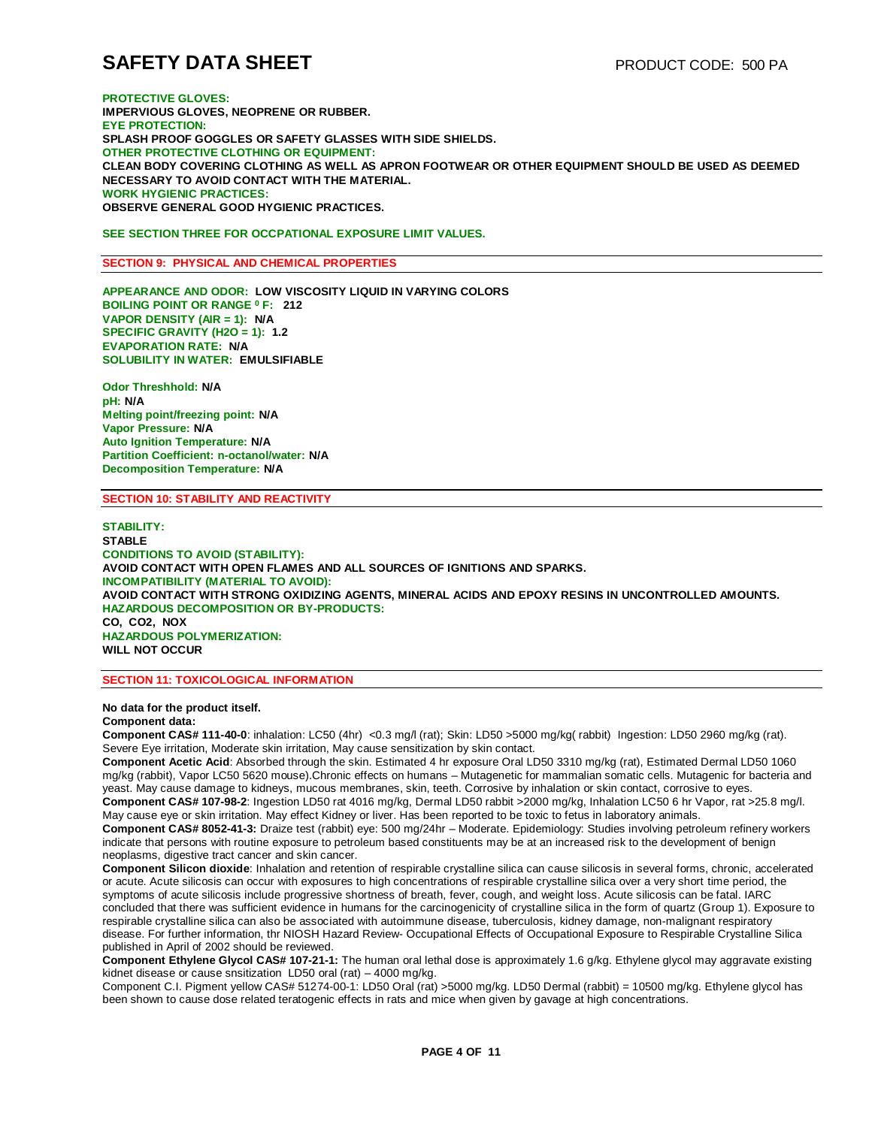**PROTECTIVE GLOVES: IMPERVIOUS GLOVES, NEOPRENE OR RUBBER. EYE PROTECTION: SPLASH PROOF GOGGLES OR SAFETY GLASSES WITH SIDE SHIELDS. OTHER PROTECTIVE CLOTHING OR EQUIPMENT: CLEAN BODY COVERING CLOTHING AS WELL AS APRON FOOTWEAR OR OTHER EQUIPMENT SHOULD BE USED AS DEEMED NECESSARY TO AVOID CONTACT WITH THE MATERIAL. WORK HYGIENIC PRACTICES: OBSERVE GENERAL GOOD HYGIENIC PRACTICES.**

**SEE SECTION THREE FOR OCCPATIONAL EXPOSURE LIMIT VALUES.** 

#### **SECTION 9: PHYSICAL AND CHEMICAL PROPERTIES**

**APPEARANCE AND ODOR: LOW VISCOSITY LIQUID IN VARYING COLORS BOILING POINT OR RANGE <sup>0</sup> F: 212 VAPOR DENSITY (AIR = 1): N/A SPECIFIC GRAVITY (H2O = 1): 1.2 EVAPORATION RATE: N/A SOLUBILITY IN WATER: EMULSIFIABLE**

**Odor Threshhold: N/A pH: N/A Melting point/freezing point: N/A Vapor Pressure: N/A Auto Ignition Temperature: N/A Partition Coefficient: n-octanol/water: N/A Decomposition Temperature: N/A**

#### **SECTION 10: STABILITY AND REACTIVITY**

**STABILITY: STABLE CONDITIONS TO AVOID (STABILITY): AVOID CONTACT WITH OPEN FLAMES AND ALL SOURCES OF IGNITIONS AND SPARKS. INCOMPATIBILITY (MATERIAL TO AVOID): AVOID CONTACT WITH STRONG OXIDIZING AGENTS, MINERAL ACIDS AND EPOXY RESINS IN UNCONTROLLED AMOUNTS. HAZARDOUS DECOMPOSITION OR BY-PRODUCTS: CO, CO2, NOX HAZARDOUS POLYMERIZATION: WILL NOT OCCUR**

**SECTION 11: TOXICOLOGICAL INFORMATION**

**No data for the product itself.** 

### **Component data:**

**Component CAS# 111-40-0**: inhalation: LC50 (4hr) <0.3 mg/l (rat); Skin: LD50 >5000 mg/kg( rabbit) Ingestion: LD50 2960 mg/kg (rat). Severe Eye irritation, Moderate skin irritation, May cause sensitization by skin contact.

**Component Acetic Acid**: Absorbed through the skin. Estimated 4 hr exposure Oral LD50 3310 mg/kg (rat), Estimated Dermal LD50 1060 mg/kg (rabbit), Vapor LC50 5620 mouse).Chronic effects on humans – Mutagenetic for mammalian somatic cells. Mutagenic for bacteria and yeast. May cause damage to kidneys, mucous membranes, skin, teeth. Corrosive by inhalation or skin contact, corrosive to eyes. **Component CAS# 107-98-2**: Ingestion LD50 rat 4016 mg/kg, Dermal LD50 rabbit >2000 mg/kg, Inhalation LC50 6 hr Vapor, rat >25.8 mg/l. May cause eye or skin irritation. May effect Kidney or liver. Has been reported to be toxic to fetus in laboratory animals.

**Component CAS# 8052-41-3:** Draize test (rabbit) eye: 500 mg/24hr – Moderate. Epidemiology: Studies involving petroleum refinery workers indicate that persons with routine exposure to petroleum based constituents may be at an increased risk to the development of benign neoplasms, digestive tract cancer and skin cancer.

**Component Silicon dioxide**: Inhalation and retention of respirable crystalline silica can cause silicosis in several forms, chronic, accelerated or acute. Acute silicosis can occur with exposures to high concentrations of respirable crystalline silica over a very short time period, the symptoms of acute silicosis include progressive shortness of breath, fever, cough, and weight loss. Acute silicosis can be fatal. IARC concluded that there was sufficient evidence in humans for the carcinogenicity of crystalline silica in the form of quartz (Group 1). Exposure to respirable crystalline silica can also be associated with autoimmune disease, tuberculosis, kidney damage, non-malignant respiratory disease. For further information, thr NIOSH Hazard Review- Occupational Effects of Occupational Exposure to Respirable Crystalline Silica published in April of 2002 should be reviewed.

**Component Ethylene Glycol CAS# 107-21-1:** The human oral lethal dose is approximately 1.6 g/kg. Ethylene glycol may aggravate existing kidnet disease or cause snsitization LD50 oral (rat) – 4000 mg/kg.

Component C.I. Pigment yellow CAS# 51274-00-1: LD50 Oral (rat) >5000 mg/kg. LD50 Dermal (rabbit) = 10500 mg/kg. Ethylene glycol has been shown to cause dose related teratogenic effects in rats and mice when given by gavage at high concentrations.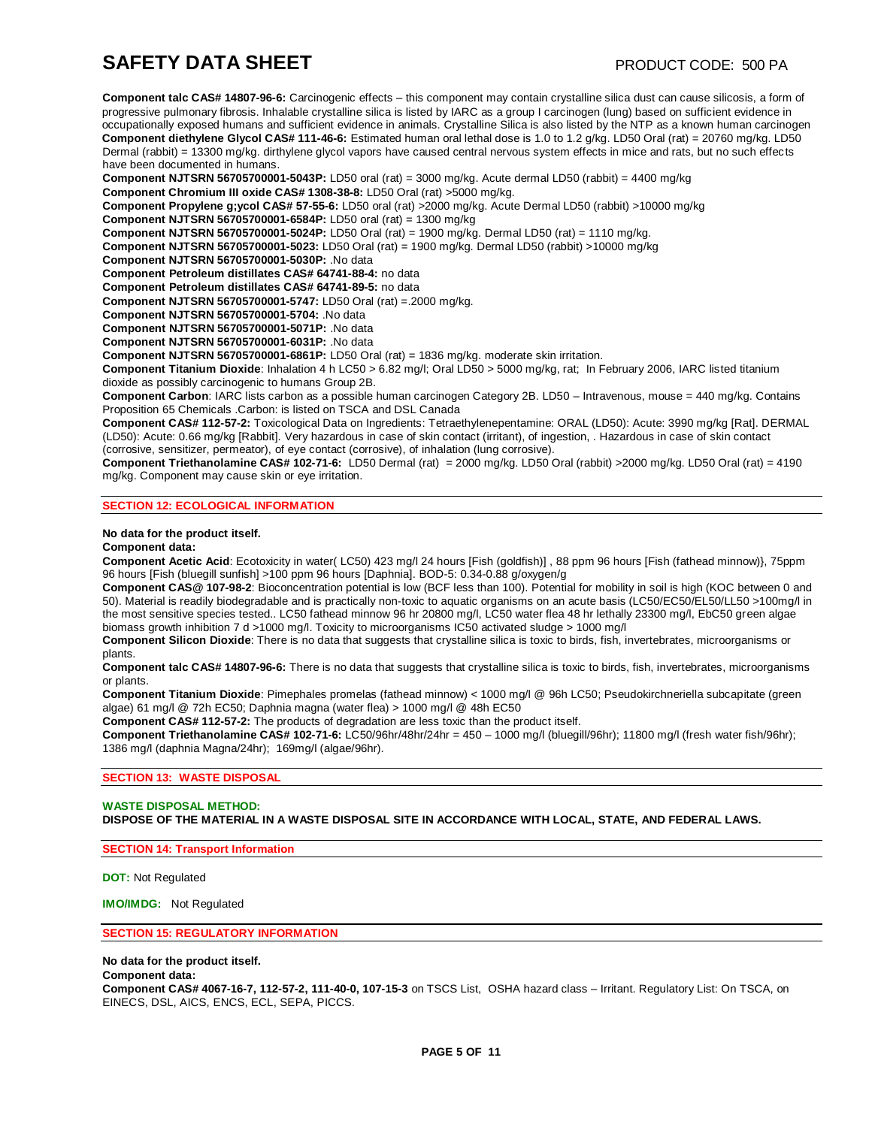**Component talc CAS# 14807-96-6:** Carcinogenic effects – this component may contain crystalline silica dust can cause silicosis, a form of progressive pulmonary fibrosis. Inhalable crystalline silica is listed by IARC as a group I carcinogen (lung) based on sufficient evidence in occupationally exposed humans and sufficient evidence in animals. Crystalline Silica is also listed by the NTP as a known human carcinogen **Component diethylene Glycol CAS# 111-46-6:** Estimated human oral lethal dose is 1.0 to 1.2 g/kg. LD50 Oral (rat) = 20760 mg/kg. LD50 Dermal (rabbit) = 13300 mg/kg. dirthylene glycol vapors have caused central nervous system effects in mice and rats, but no such effects have been documented in humans.

**Component NJTSRN 56705700001-5043P:** LD50 oral (rat) = 3000 mg/kg. Acute dermal LD50 (rabbit) = 4400 mg/kg

**Component Chromium III oxide CAS# 1308-38-8:** LD50 Oral (rat) >5000 mg/kg.

**Component Propylene g;ycol CAS# 57-55-6:** LD50 oral (rat) >2000 mg/kg. Acute Dermal LD50 (rabbit) >10000 mg/kg

**Component NJTSRN 56705700001-6584P:** LD50 oral (rat) = 1300 mg/kg

**Component NJTSRN 56705700001-5024P:** LD50 Oral (rat) = 1900 mg/kg. Dermal LD50 (rat) = 1110 mg/kg.

**Component NJTSRN 56705700001-5023:** LD50 Oral (rat) = 1900 mg/kg. Dermal LD50 (rabbit) >10000 mg/kg

**Component NJTSRN 56705700001-5030P:** .No data

**Component Petroleum distillates CAS# 64741-88-4:** no data

**Component Petroleum distillates CAS# 64741-89-5:** no data

**Component NJTSRN 56705700001-5747:** LD50 Oral (rat) =.2000 mg/kg.

**Component NJTSRN 56705700001-5704:** .No data

**Component NJTSRN 56705700001-5071P:** .No data

**Component NJTSRN 56705700001-6031P:** .No data

**Component NJTSRN 56705700001-6861P:** LD50 Oral (rat) = 1836 mg/kg. moderate skin irritation.

**Component Titanium Dioxide**: Inhalation 4 h LC50 > 6.82 mg/l; Oral LD50 > 5000 mg/kg, rat; In February 2006, IARC listed titanium dioxide as possibly carcinogenic to humans Group 2B.

**Component Carbon**: IARC lists carbon as a possible human carcinogen Category 2B. LD50 – Intravenous, mouse = 440 mg/kg. Contains Proposition 65 Chemicals .Carbon: is listed on TSCA and DSL Canada

**Component CAS# 112-57-2:** Toxicological Data on Ingredients: Tetraethylenepentamine: ORAL (LD50): Acute: 3990 mg/kg [Rat]. DERMAL (LD50): Acute: 0.66 mg/kg [Rabbit]. Very hazardous in case of skin contact (irritant), of ingestion, . Hazardous in case of skin contact (corrosive, sensitizer, permeator), of eye contact (corrosive), of inhalation (lung corrosive).

**Component Triethanolamine CAS# 102-71-6:** LD50 Dermal (rat) = 2000 mg/kg. LD50 Oral (rabbit) >2000 mg/kg. LD50 Oral (rat) = 4190 mg/kg. Component may cause skin or eye irritation.

#### **SECTION 12: ECOLOGICAL INFORMATION**

**No data for the product itself.** 

#### **Component data:**

**Component Acetic Acid**: Ecotoxicity in water( LC50) 423 mg/l 24 hours [Fish (goldfish)] , 88 ppm 96 hours [Fish (fathead minnow)}, 75ppm 96 hours [Fish (bluegill sunfish] >100 ppm 96 hours [Daphnia]. BOD-5: 0.34-0.88 g/oxygen/g

**Component CAS@ 107-98-2**: Bioconcentration potential is low (BCF less than 100). Potential for mobility in soil is high (KOC between 0 and 50). Material is readily biodegradable and is practically non-toxic to aquatic organisms on an acute basis (LC50/EC50/EL50/LL50 >100mg/l in the most sensitive species tested.. LC50 fathead minnow 96 hr 20800 mg/l, LC50 water flea 48 hr lethally 23300 mg/l, EbC50 green algae biomass growth inhibition 7 d >1000 mg/l. Toxicity to microorganisms IC50 activated sludge > 1000 mg/l

**Component Silicon Dioxide**: There is no data that suggests that crystalline silica is toxic to birds, fish, invertebrates, microorganisms or plants.

**Component talc CAS# 14807-96-6:** There is no data that suggests that crystalline silica is toxic to birds, fish, invertebrates, microorganisms or plants.

**Component Titanium Dioxide**: Pimephales promelas (fathead minnow) < 1000 mg/l @ 96h LC50; Pseudokirchneriella subcapitate (green algae) 61 mg/l @ 72h EC50; Daphnia magna (water flea) > 1000 mg/l @ 48h EC50

**Component CAS# 112-57-2:** The products of degradation are less toxic than the product itself.

**Component Triethanolamine CAS# 102-71-6:** LC50/96hr/48hr/24hr = 450 – 1000 mg/l (bluegill/96hr); 11800 mg/l (fresh water fish/96hr); 1386 mg/l (daphnia Magna/24hr); 169mg/l (algae/96hr).

#### **SECTION 13: WASTE DISPOSAL**

# **WASTE DISPOSAL METHOD: DISPOSE OF THE MATERIAL IN A WASTE DISPOSAL SITE IN ACCORDANCE WITH LOCAL, STATE, AND FEDERAL LAWS.**

**SECTION 14: Transport Information**

**DOT:** Not Regulated

**IMO/IMDG:** Not Regulated

**SECTION 15: REGULATORY INFORMATION**

### **No data for the product itself.**

**Component data:**

**Component CAS# 4067-16-7, 112-57-2, 111-40-0, 107-15-3** on TSCS List, OSHA hazard class – Irritant. Regulatory List: On TSCA, on EINECS, DSL, AICS, ENCS, ECL, SEPA, PICCS.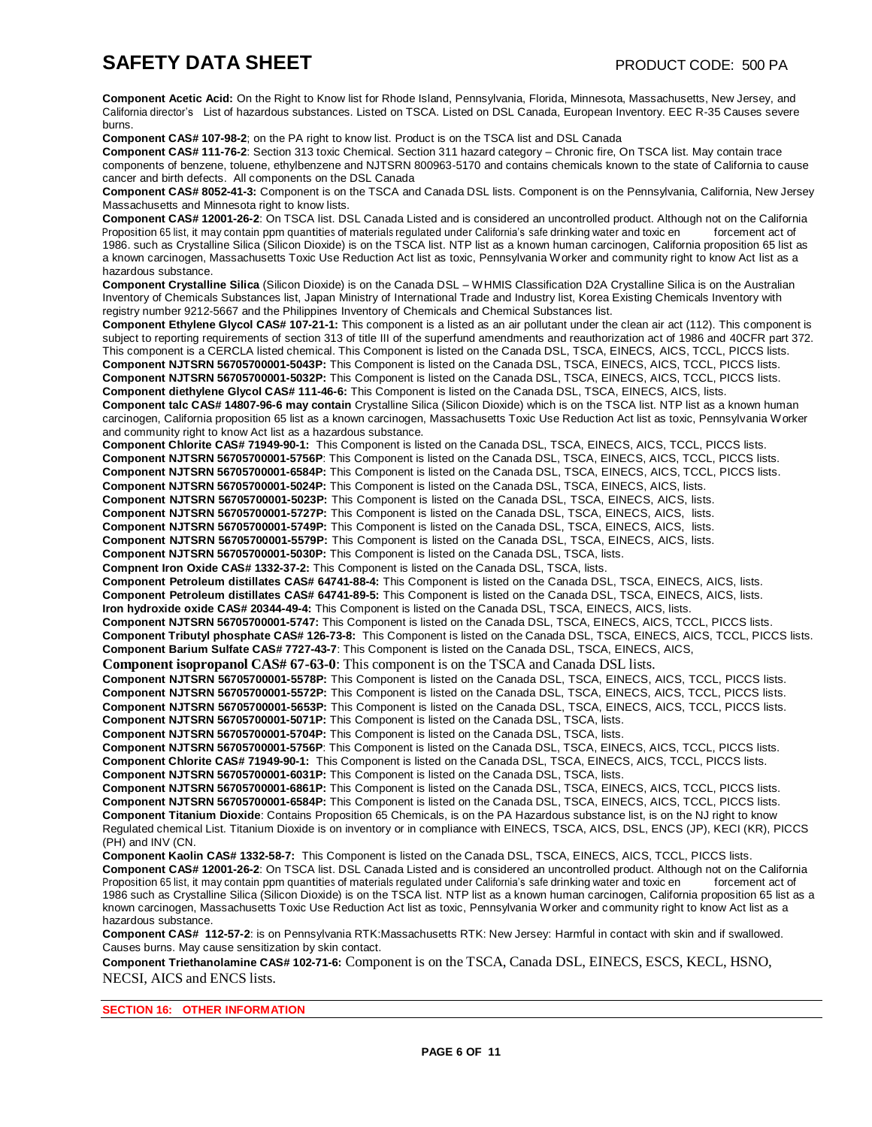**Component Acetic Acid:** On the Right to Know list for Rhode Island, Pennsylvania, Florida, Minnesota, Massachusetts, New Jersey, and California director's List of hazardous substances. Listed on TSCA. Listed on DSL Canada, European Inventory. EEC R-35 Causes severe burns.

**Component CAS# 107-98-2**; on the PA right to know list. Product is on the TSCA list and DSL Canada

**Component CAS# 111-76-2**: Section 313 toxic Chemical. Section 311 hazard category – Chronic fire, On TSCA list. May contain trace components of benzene, toluene, ethylbenzene and NJTSRN 800963-5170 and contains chemicals known to the state of California to cause cancer and birth defects. All components on the DSL Canada

**Component CAS# 8052-41-3:** Component is on the TSCA and Canada DSL lists. Component is on the Pennsylvania, California, New Jersey Massachusetts and Minnesota right to know lists.

**Component CAS# 12001-26-2**: On TSCA list. DSL Canada Listed and is considered an uncontrolled product. Although not on the California Proposition 65 list, it may contain ppm quantities of materials regulated under California's safe drinking water and toxic en forcement act of 1986. such as Crystalline Silica (Silicon Dioxide) is on the TSCA list. NTP list as a known human carcinogen, California proposition 65 list as a known carcinogen, Massachusetts Toxic Use Reduction Act list as toxic, Pennsylvania Worker and community right to know Act list as a hazardous substance.

**Component Crystalline Silica** (Silicon Dioxide) is on the Canada DSL – WHMIS Classification D2A Crystalline Silica is on the Australian Inventory of Chemicals Substances list, Japan Ministry of International Trade and Industry list, Korea Existing Chemicals Inventory with registry number 9212-5667 and the Philippines Inventory of Chemicals and Chemical Substances list.

**Component Ethylene Glycol CAS# 107-21-1:** This component is a listed as an air pollutant under the clean air act (112). This component is subject to reporting requirements of section 313 of title III of the superfund amendments and reauthorization act of 1986 and 40CFR part 372. This component is a CERCLA listed chemical. This Component is listed on the Canada DSL, TSCA, EINECS, AICS, TCCL, PICCS lists. **Component NJTSRN 56705700001-5043P:** This Component is listed on the Canada DSL, TSCA, EINECS, AICS, TCCL, PICCS lists. **Component NJTSRN 56705700001-5032P:** This Component is listed on the Canada DSL, TSCA, EINECS, AICS, TCCL, PICCS lists. **Component diethylene Glycol CAS# 111-46-6:** This Component is listed on the Canada DSL, TSCA, EINECS, AICS, lists.

**Component talc CAS# 14807-96-6 may contain** Crystalline Silica (Silicon Dioxide) which is on the TSCA list. NTP list as a known human carcinogen, California proposition 65 list as a known carcinogen, Massachusetts Toxic Use Reduction Act list as toxic, Pennsylvania Worker and community right to know Act list as a hazardous substance.

**Component Chlorite CAS# 71949-90-1:** This Component is listed on the Canada DSL, TSCA, EINECS, AICS, TCCL, PICCS lists. **Component NJTSRN 56705700001-5756P**: This Component is listed on the Canada DSL, TSCA, EINECS, AICS, TCCL, PICCS lists.

**Component NJTSRN 56705700001-6584P:** This Component is listed on the Canada DSL, TSCA, EINECS, AICS, TCCL, PICCS lists.

**Component NJTSRN 56705700001-5024P:** This Component is listed on the Canada DSL, TSCA, EINECS, AICS, lists.

**Component NJTSRN 56705700001-5023P:** This Component is listed on the Canada DSL, TSCA, EINECS, AICS, lists.

**Component NJTSRN 56705700001-5727P:** This Component is listed on the Canada DSL, TSCA, EINECS, AICS, lists.

**Component NJTSRN 56705700001-5749P:** This Component is listed on the Canada DSL, TSCA, EINECS, AICS, lists.

**Component NJTSRN 56705700001-5579P:** This Component is listed on the Canada DSL, TSCA, EINECS, AICS, lists.

**Component NJTSRN 56705700001-5030P:** This Component is listed on the Canada DSL, TSCA, lists.

**Compnent Iron Oxide CAS# 1332-37-2:** This Component is listed on the Canada DSL, TSCA, lists.

**Component Petroleum distillates CAS# 64741-88-4:** This Component is listed on the Canada DSL, TSCA, EINECS, AICS, lists. **Component Petroleum distillates CAS# 64741-89-5:** This Component is listed on the Canada DSL, TSCA, EINECS, AICS, lists.

**Iron hydroxide oxide CAS# 20344-49-4:** This Component is listed on the Canada DSL, TSCA, EINECS, AICS, lists.

**Component NJTSRN 56705700001-5747:** This Component is listed on the Canada DSL, TSCA, EINECS, AICS, TCCL, PICCS lists. **Component Tributyl phosphate CAS# 126-73-8:** This Component is listed on the Canada DSL, TSCA, EINECS, AICS, TCCL, PICCS lists. **Component Barium Sulfate CAS# 7727-43-7**: This Component is listed on the Canada DSL, TSCA, EINECS, AICS,

**Component isopropanol CAS# 67-63-0**: This component is on the TSCA and Canada DSL lists.

**Component NJTSRN 56705700001-5578P:** This Component is listed on the Canada DSL, TSCA, EINECS, AICS, TCCL, PICCS lists.

**Component NJTSRN 56705700001-5572P:** This Component is listed on the Canada DSL, TSCA, EINECS, AICS, TCCL, PICCS lists.

**Component NJTSRN 56705700001-5653P:** This Component is listed on the Canada DSL, TSCA, EINECS, AICS, TCCL, PICCS lists.

**Component NJTSRN 56705700001-5071P:** This Component is listed on the Canada DSL, TSCA, lists.

**Component NJTSRN 56705700001-5704P:** This Component is listed on the Canada DSL, TSCA, lists.

**Component NJTSRN 56705700001-5756P**: This Component is listed on the Canada DSL, TSCA, EINECS, AICS, TCCL, PICCS lists. **Component Chlorite CAS# 71949-90-1:** This Component is listed on the Canada DSL, TSCA, EINECS, AICS, TCCL, PICCS lists.

**Component NJTSRN 56705700001-6031P:** This Component is listed on the Canada DSL, TSCA, lists.

**Component NJTSRN 56705700001-6861P:** This Component is listed on the Canada DSL, TSCA, EINECS, AICS, TCCL, PICCS lists. **Component NJTSRN 56705700001-6584P:** This Component is listed on the Canada DSL, TSCA, EINECS, AICS, TCCL, PICCS lists. **Component Titanium Dioxide**: Contains Proposition 65 Chemicals, is on the PA Hazardous substance list, is on the NJ right to know Regulated chemical List. Titanium Dioxide is on inventory or in compliance with EINECS, TSCA, AICS, DSL, ENCS (JP), KECI (KR), PICCS (PH) and INV (CN.

**Component Kaolin CAS# 1332-58-7:** This Component is listed on the Canada DSL, TSCA, EINECS, AICS, TCCL, PICCS lists.

**Component CAS# 12001-26-2**: On TSCA list. DSL Canada Listed and is considered an uncontrolled product. Although not on the California Proposition 65 list, it may contain ppm quantities of materials regulated under California's safe drinking water and toxic en forcement act of 1986 such as Crystalline Silica (Silicon Dioxide) is on the TSCA list. NTP list as a known human carcinogen, California proposition 65 list as a known carcinogen, Massachusetts Toxic Use Reduction Act list as toxic, Pennsylvania Worker and community right to know Act list as a hazardous substance.

**Component CAS# 112-57-2**: is on Pennsylvania RTK:Massachusetts RTK: New Jersey: Harmful in contact with skin and if swallowed. Causes burns. May cause sensitization by skin contact.

**Component Triethanolamine CAS# 102-71-6:** Component is on the TSCA, Canada DSL, EINECS, ESCS, KECL, HSNO, NECSI, AICS and ENCS lists.

**SECTION 16: OTHER INFORMATION**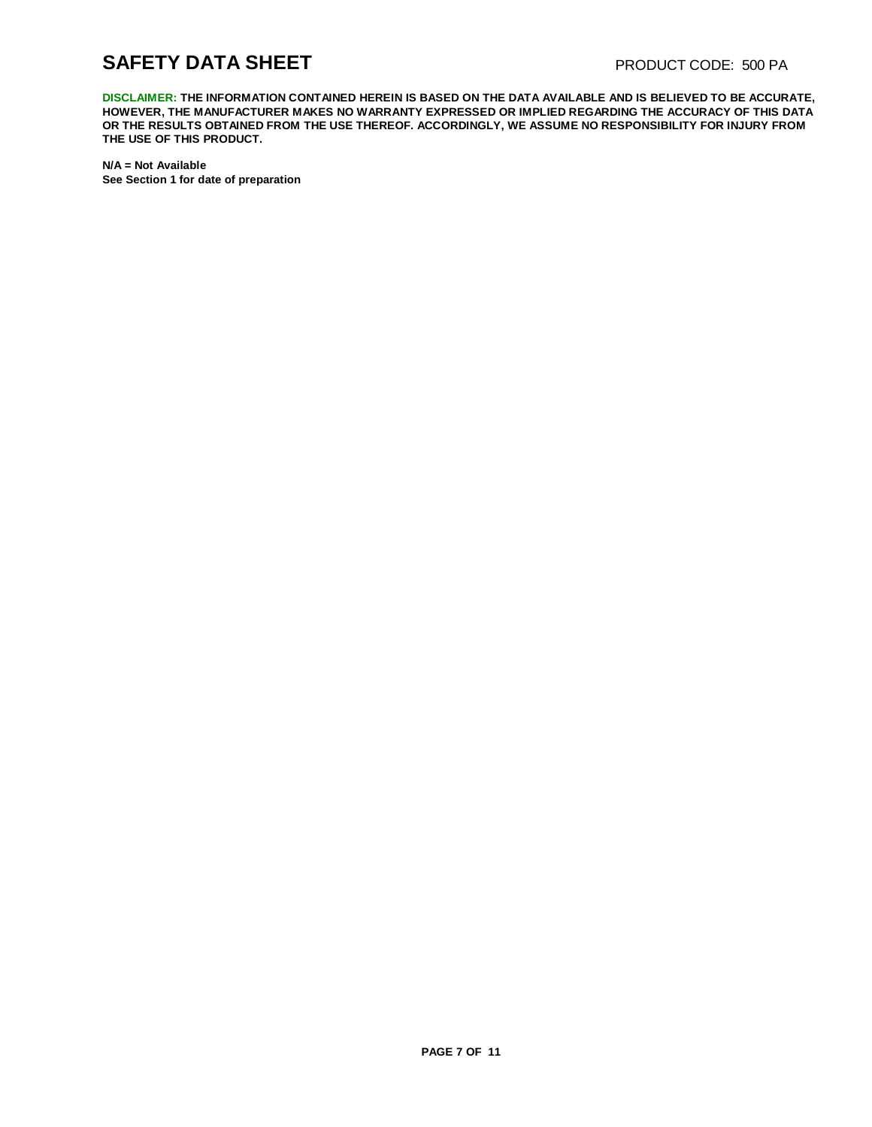# **SAFETY DATA SHEET** PRODUCT CODE: 500 PA

**DISCLAIMER: THE INFORMATION CONTAINED HEREIN IS BASED ON THE DATA AVAILABLE AND IS BELIEVED TO BE ACCURATE, HOWEVER, THE MANUFACTURER MAKES NO WARRANTY EXPRESSED OR IMPLIED REGARDING THE ACCURACY OF THIS DATA OR THE RESULTS OBTAINED FROM THE USE THEREOF. ACCORDINGLY, WE ASSUME NO RESPONSIBILITY FOR INJURY FROM THE USE OF THIS PRODUCT.**

**N/A = Not Available See Section 1 for date of preparation**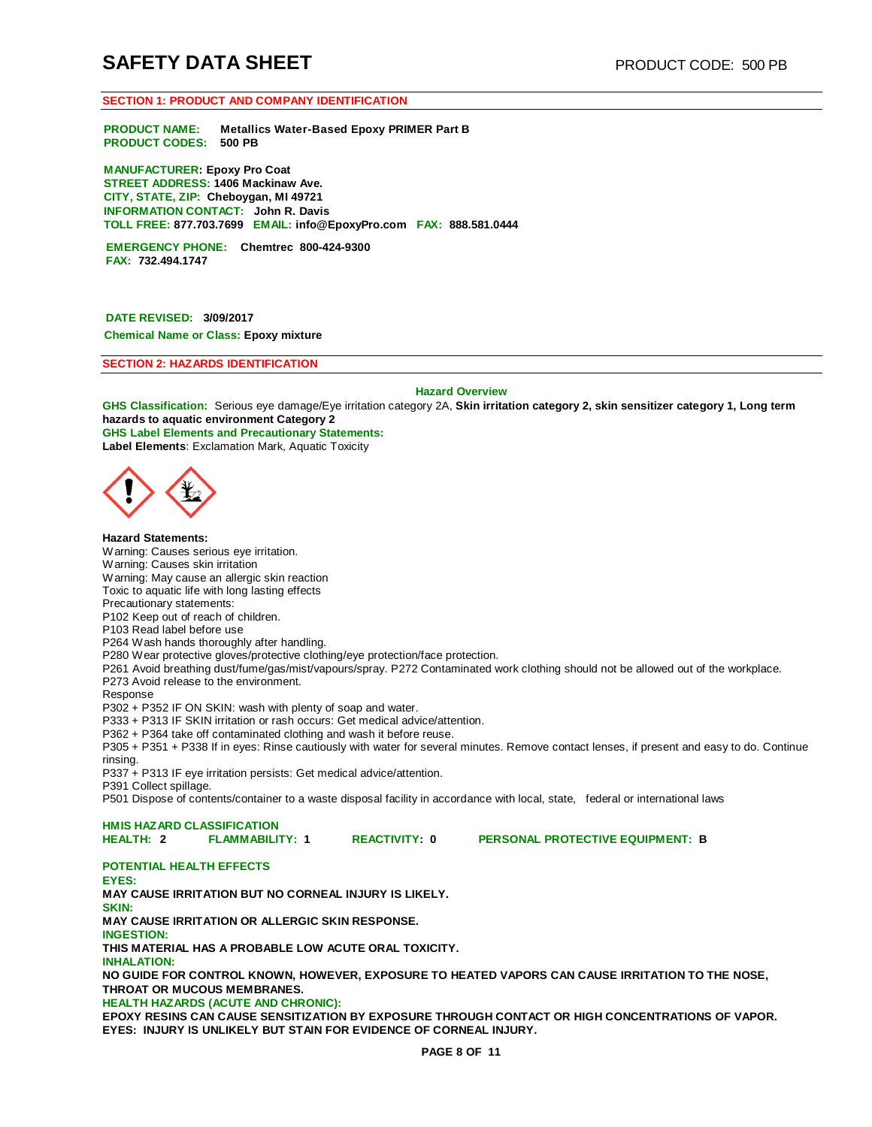#### **SECTION 1: PRODUCT AND COMPANY IDENTIFICATION**

**PRODUCT NAME: Metallics Water-Based Epoxy PRIMER Part B PRODUCT CODES: 500 PB**

**MANUFACTURER: Epoxy Pro Coat STREET ADDRESS: 1406 Mackinaw Ave. CITY, STATE, ZIP: Cheboygan, MI 49721 INFORMATION CONTACT: John R. Davis TOLL FREE: 877.703.7699 EMAIL: [info@EpoxyPro.com](mailto:info@EpoxyPro.com) FAX: 888.581.0444**

**EMERGENCY PHONE: Chemtrec 800-424-9300 FAX: 732.494.1747**

**DATE REVISED: 3/09/2017 Chemical Name or Class: Epoxy mixture**

**SECTION 2: HAZARDS IDENTIFICATION**

**Hazard Overview**

**GHS Classification:** Serious eye damage/Eye irritation category 2A, **Skin irritation category 2, skin sensitizer category 1, Long term hazards to aquatic environment Category 2 GHS Label Elements and Precautionary Statements: Label Elements**: Exclamation Mark, Aquatic Toxicity



**Hazard Statements:** Warning: Causes serious eye irritation. Warning: Causes skin irritation Warning: May cause an allergic skin reaction Toxic to aquatic life with long lasting effects Precautionary statements: P102 Keep out of reach of children. P103 Read label before use P264 Wash hands thoroughly after handling. P280 Wear protective gloves/protective clothing/eye protection/face protection. P261 Avoid breathing dust/fume/gas/mist/vapours/spray. P272 Contaminated work clothing should not be allowed out of the workplace. P273 Avoid release to the environment. Response P302 + P352 IF ON SKIN: wash with plenty of soap and water. P333 + P313 IF SKIN irritation or rash occurs: Get medical advice/attention. P362 + P364 take off contaminated clothing and wash it before reuse.

P305 + P351 + P338 If in eyes: Rinse cautiously with water for several minutes. Remove contact lenses, if present and easy to do. Continue rinsing.

P337 + P313 IF eye irritation persists: Get medical advice/attention.

P391 Collect spillage.

P501 Dispose of contents/container to a waste disposal facility in accordance with local, state, federal or international laws

**HMIS HAZARD CLASSIFICATION**

**REACTIVITY: 0 PERSONAL PROTECTIVE EQUIPMENT: B** 

**POTENTIAL HEALTH EFFECTS** 

**EYES: MAY CAUSE IRRITATION BUT NO CORNEAL INJURY IS LIKELY. SKIN: MAY CAUSE IRRITATION OR ALLERGIC SKIN RESPONSE. INGESTION: THIS MATERIAL HAS A PROBABLE LOW ACUTE ORAL TOXICITY. INHALATION: NO GUIDE FOR CONTROL KNOWN, HOWEVER, EXPOSURE TO HEATED VAPORS CAN CAUSE IRRITATION TO THE NOSE, THROAT OR MUCOUS MEMBRANES.**

**HEALTH HAZARDS (ACUTE AND CHRONIC):**

**EPOXY RESINS CAN CAUSE SENSITIZATION BY EXPOSURE THROUGH CONTACT OR HIGH CONCENTRATIONS OF VAPOR. EYES: INJURY IS UNLIKELY BUT STAIN FOR EVIDENCE OF CORNEAL INJURY.**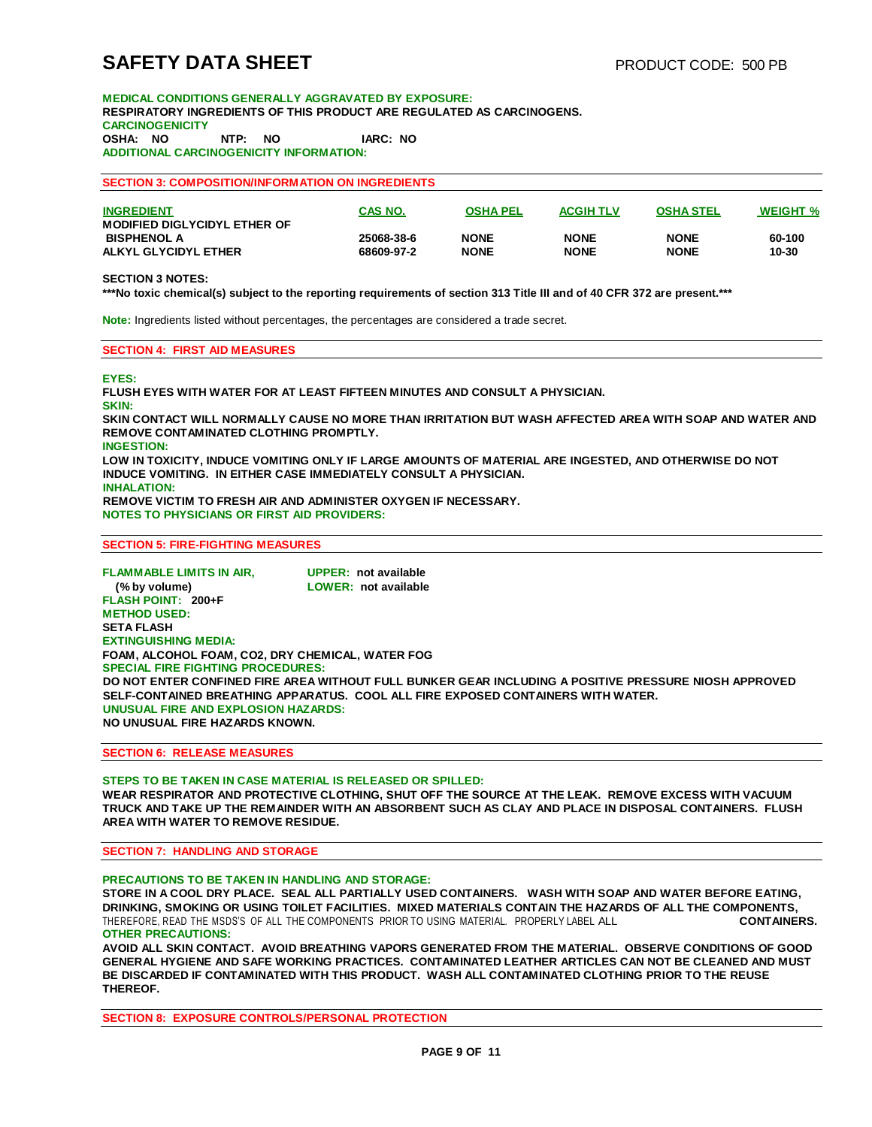**MEDICAL CONDITIONS GENERALLY AGGRAVATED BY EXPOSURE: RESPIRATORY INGREDIENTS OF THIS PRODUCT ARE REGULATED AS CARCINOGENS. CARCINOGENICITY OSHA: NO NTP: NO IARC: NO ADDITIONAL CARCINOGENICITY INFORMATION:**

**SECTION 3: COMPOSITION/INFORMATION ON INGREDIENTS**

| <b>INGREDIENT</b><br>MODIFIED DIGLYCIDYL ETHER OF | <b>CAS NO.</b> | <b>OSHA PEL</b> | <b>ACGIH TLV</b> | <b>OSHA STEL</b> | <b>WEIGHT %</b> |
|---------------------------------------------------|----------------|-----------------|------------------|------------------|-----------------|
| <b>BISPHENOL A</b>                                | 25068-38-6     | <b>NONE</b>     | <b>NONE</b>      | <b>NONE</b>      | 60-100          |
| ALKYL GLYCIDYL ETHER                              | 68609-97-2     | <b>NONE</b>     | <b>NONE</b>      | <b>NONE</b>      | 10-30           |

#### **SECTION 3 NOTES:**

**\*\*\*No toxic chemical(s) subject to the reporting requirements of section 313 Title III and of 40 CFR 372 are present.\*\*\*** 

**Note:** Ingredients listed without percentages, the percentages are considered a trade secret.

#### **SECTION 4: FIRST AID MEASURES**

**EYES:**

**FLUSH EYES WITH WATER FOR AT LEAST FIFTEEN MINUTES AND CONSULT A PHYSICIAN. SKIN: SKIN CONTACT WILL NORMALLY CAUSE NO MORE THAN IRRITATION BUT WASH AFFECTED AREA WITH SOAP AND WATER AND REMOVE CONTAMINATED CLOTHING PROMPTLY. INGESTION: LOW IN TOXICITY, INDUCE VOMITING ONLY IF LARGE AMOUNTS OF MATERIAL ARE INGESTED, AND OTHERWISE DO NOT INDUCE VOMITING. IN EITHER CASE IMMEDIATELY CONSULT A PHYSICIAN. INHALATION: REMOVE VICTIM TO FRESH AIR AND ADMINISTER OXYGEN IF NECESSARY. NOTES TO PHYSICIANS OR FIRST AID PROVIDERS:**

#### **SECTION 5: FIRE-FIGHTING MEASURES**

**FLAMMABLE LIMITS IN AIR, UPPER: not available (% by volume) LOWER: not available FLASH POINT: 200+F METHOD USED: SETA FLASH EXTINGUISHING MEDIA: FOAM, ALCOHOL FOAM, CO2, DRY CHEMICAL, WATER FOG SPECIAL FIRE FIGHTING PROCEDURES: DO NOT ENTER CONFINED FIRE AREA WITHOUT FULL BUNKER GEAR INCLUDING A POSITIVE PRESSURE NIOSH APPROVED SELF-CONTAINED BREATHING APPARATUS. COOL ALL FIRE EXPOSED CONTAINERS WITH WATER. UNUSUAL FIRE AND EXPLOSION HAZARDS: NO UNUSUAL FIRE HAZARDS KNOWN.**

#### **SECTION 6: RELEASE MEASURES**

#### **STEPS TO BE TAKEN IN CASE MATERIAL IS RELEASED OR SPILLED: WEAR RESPIRATOR AND PROTECTIVE CLOTHING, SHUT OFF THE SOURCE AT THE LEAK. REMOVE EXCESS WITH VACUUM TRUCK AND TAKE UP THE REMAINDER WITH AN ABSORBENT SUCH AS CLAY AND PLACE IN DISPOSAL CONTAINERS. FLUSH AREA WITH WATER TO REMOVE RESIDUE.**

**SECTION 7: HANDLING AND STORAGE**

#### **PRECAUTIONS TO BE TAKEN IN HANDLING AND STORAGE:**

**STORE IN A COOL DRY PLACE. SEAL ALL PARTIALLY USED CONTAINERS. WASH WITH SOAP AND WATER BEFORE EATING, DRINKING, SMOKING OR USING TOILET FACILITIES. MIXED MATERIALS CONTAIN THE HAZARDS OF ALL THE COMPONENTS,**  THEREFORE, READ THE MSDS'S OF ALL THE COMPONENTS PRIOR TO USING MATERIAL. PROPERLY LABEL ALL **CONTAINERS. OTHER PRECAUTIONS:**

**AVOID ALL SKIN CONTACT. AVOID BREATHING VAPORS GENERATED FROM THE MATERIAL. OBSERVE CONDITIONS OF GOOD GENERAL HYGIENE AND SAFE WORKING PRACTICES. CONTAMINATED LEATHER ARTICLES CAN NOT BE CLEANED AND MUST BE DISCARDED IF CONTAMINATED WITH THIS PRODUCT. WASH ALL CONTAMINATED CLOTHING PRIOR TO THE REUSE THEREOF.**

**SECTION 8: EXPOSURE CONTROLS/PERSONAL PROTECTION**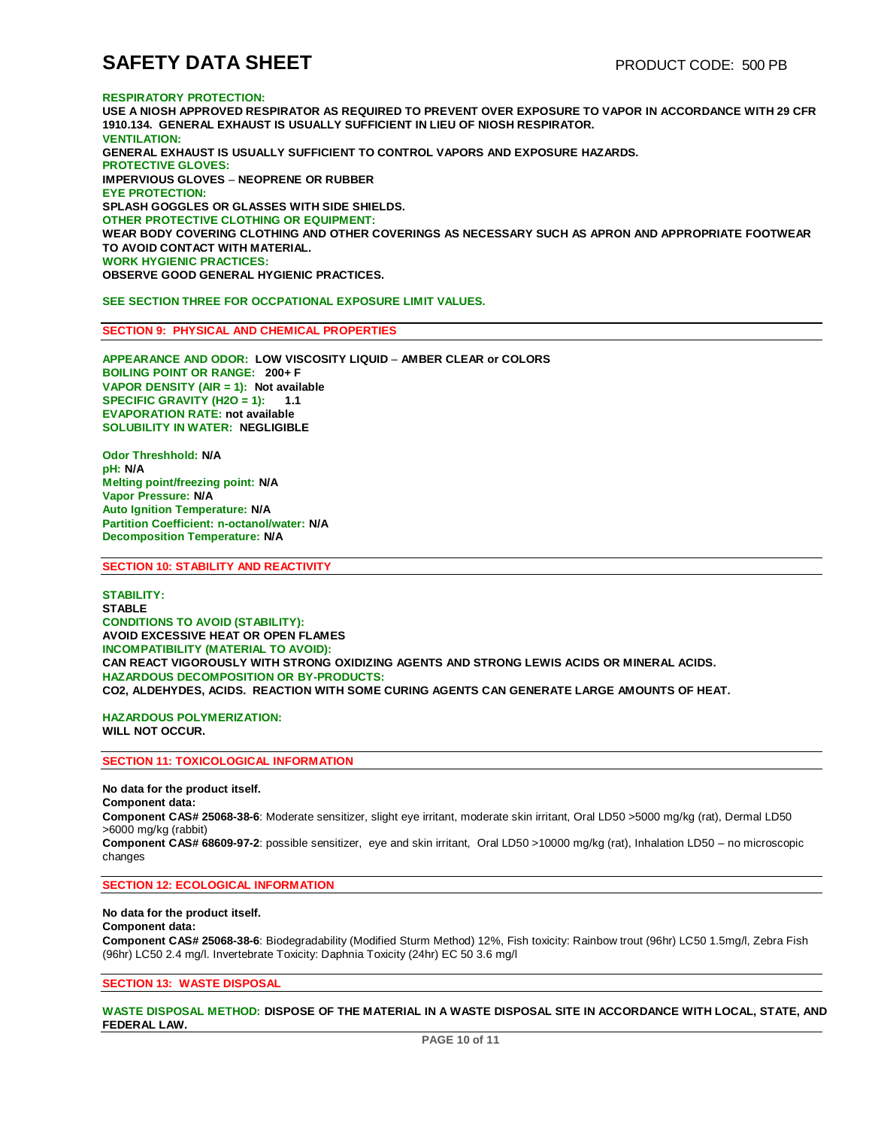#### **RESPIRATORY PROTECTION:**

**USE A NIOSH APPROVED RESPIRATOR AS REQUIRED TO PREVENT OVER EXPOSURE TO VAPOR IN ACCORDANCE WITH 29 CFR 1910.134. GENERAL EXHAUST IS USUALLY SUFFICIENT IN LIEU OF NIOSH RESPIRATOR. VENTILATION: GENERAL EXHAUST IS USUALLY SUFFICIENT TO CONTROL VAPORS AND EXPOSURE HAZARDS. PROTECTIVE GLOVES: IMPERVIOUS GLOVES** – **NEOPRENE OR RUBBER EYE PROTECTION: SPLASH GOGGLES OR GLASSES WITH SIDE SHIELDS. OTHER PROTECTIVE CLOTHING OR EQUIPMENT: WEAR BODY COVERING CLOTHING AND OTHER COVERINGS AS NECESSARY SUCH AS APRON AND APPROPRIATE FOOTWEAR TO AVOID CONTACT WITH MATERIAL. WORK HYGIENIC PRACTICES: OBSERVE GOOD GENERAL HYGIENIC PRACTICES.**

**SEE SECTION THREE FOR OCCPATIONAL EXPOSURE LIMIT VALUES.** 

#### **SECTION 9: PHYSICAL AND CHEMICAL PROPERTIES**

**APPEARANCE AND ODOR: LOW VISCOSITY LIQUID** – **AMBER CLEAR or COLORS BOILING POINT OR RANGE: 200+ F VAPOR DENSITY (AIR = 1): Not available SPECIFIC GRAVITY (H2O = 1): 1.1 EVAPORATION RATE: not available SOLUBILITY IN WATER: NEGLIGIBLE**

**Odor Threshhold: N/A pH: N/A Melting point/freezing point: N/A Vapor Pressure: N/A Auto Ignition Temperature: N/A Partition Coefficient: n-octanol/water: N/A Decomposition Temperature: N/A**

#### **SECTION 10: STABILITY AND REACTIVITY**

**STABILITY: STABLE CONDITIONS TO AVOID (STABILITY): AVOID EXCESSIVE HEAT OR OPEN FLAMES INCOMPATIBILITY (MATERIAL TO AVOID): CAN REACT VIGOROUSLY WITH STRONG OXIDIZING AGENTS AND STRONG LEWIS ACIDS OR MINERAL ACIDS. HAZARDOUS DECOMPOSITION OR BY-PRODUCTS: CO2, ALDEHYDES, ACIDS. REACTION WITH SOME CURING AGENTS CAN GENERATE LARGE AMOUNTS OF HEAT.**

**HAZARDOUS POLYMERIZATION: WILL NOT OCCUR.**

#### **SECTION 11: TOXICOLOGICAL INFORMATION**

**No data for the product itself. Component data: Component CAS# 25068-38-6**: Moderate sensitizer, slight eye irritant, moderate skin irritant, Oral LD50 >5000 mg/kg (rat), Dermal LD50 >6000 mg/kg (rabbit) **Component CAS# 68609-97-2**: possible sensitizer, eye and skin irritant, Oral LD50 >10000 mg/kg (rat), Inhalation LD50 – no microscopic changes

### **SECTION 12: ECOLOGICAL INFORMATION**

**No data for the product itself. Component data: Component CAS# 25068-38-6**: Biodegradability (Modified Sturm Method) 12%, Fish toxicity: Rainbow trout (96hr) LC50 1.5mg/l, Zebra Fish (96hr) LC50 2.4 mg/l. Invertebrate Toxicity: Daphnia Toxicity (24hr) EC 50 3.6 mg/l

#### **SECTION 13: WASTE DISPOSAL**

**WASTE DISPOSAL METHOD: DISPOSE OF THE MATERIAL IN A WASTE DISPOSAL SITE IN ACCORDANCE WITH LOCAL, STATE, AND FEDERAL LAW.**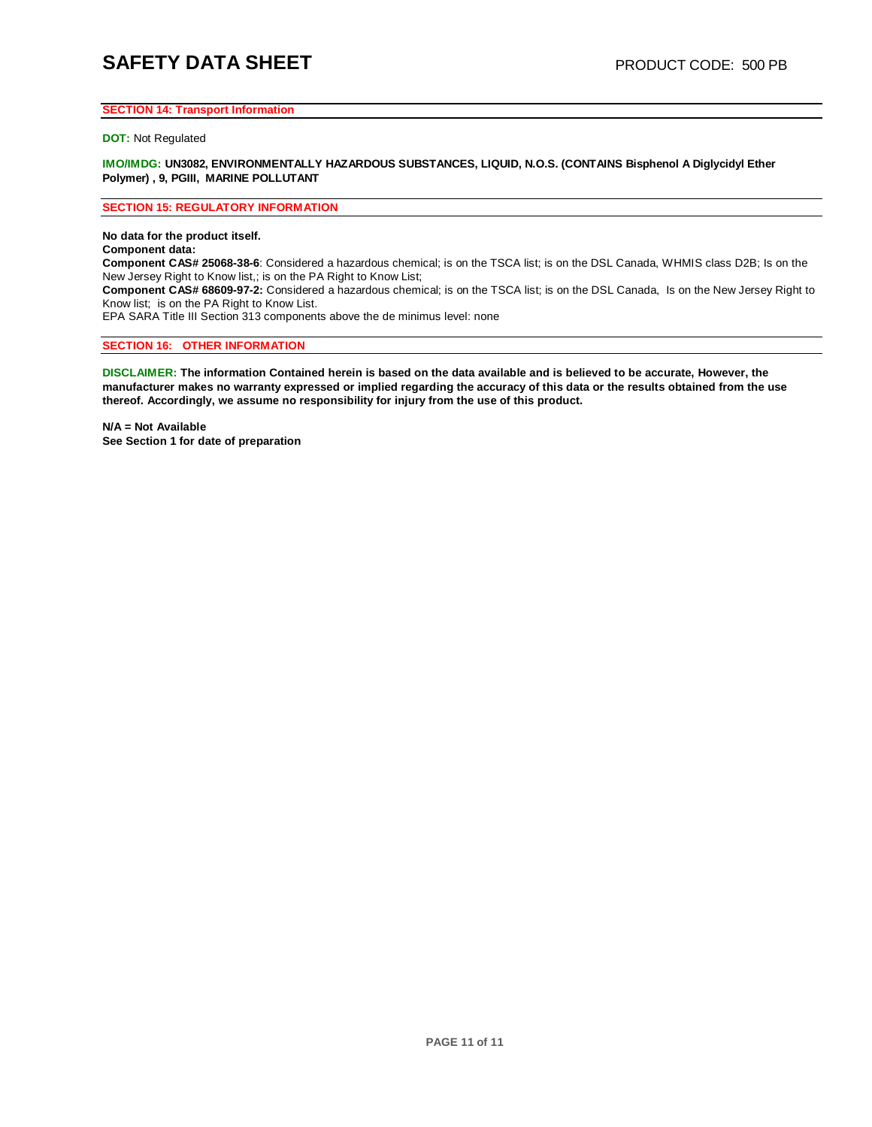# **SAFETY DATA SHEET** PRODUCT CODE: 500 PB

### **SECTION 14: Transport Information**

#### **DOT:** Not Regulated

**IMO/IMDG: UN3082, ENVIRONMENTALLY HAZARDOUS SUBSTANCES, LIQUID, N.O.S. (CONTAINS Bisphenol A Diglycidyl Ether Polymer) , 9, PGIII, MARINE POLLUTANT**

#### **SECTION 15: REGULATORY INFORMATION**

**No data for the product itself.** 

**Component data:**

**Component CAS# 25068-38-6**: Considered a hazardous chemical; is on the TSCA list; is on the DSL Canada, WHMIS class D2B; Is on the New Jersey Right to Know list,; is on the PA Right to Know List;

**Component CAS# 68609-97-2:** Considered a hazardous chemical; is on the TSCA list; is on the DSL Canada, Is on the New Jersey Right to Know list; is on the PA Right to Know List.

EPA SARA Title III Section 313 components above the de minimus level: none

### **SECTION 16: OTHER INFORMATION**

DISCLAIMER: The information Contained herein is based on the data available and is believed to be accurate, However, the manufacturer makes no warranty expressed or implied regarding the accuracy of this data or the results obtained from the use **thereof. Accordingly, we assume no responsibility for injury from the use of this product.**

**N/A = Not Available See Section 1 for date of preparation**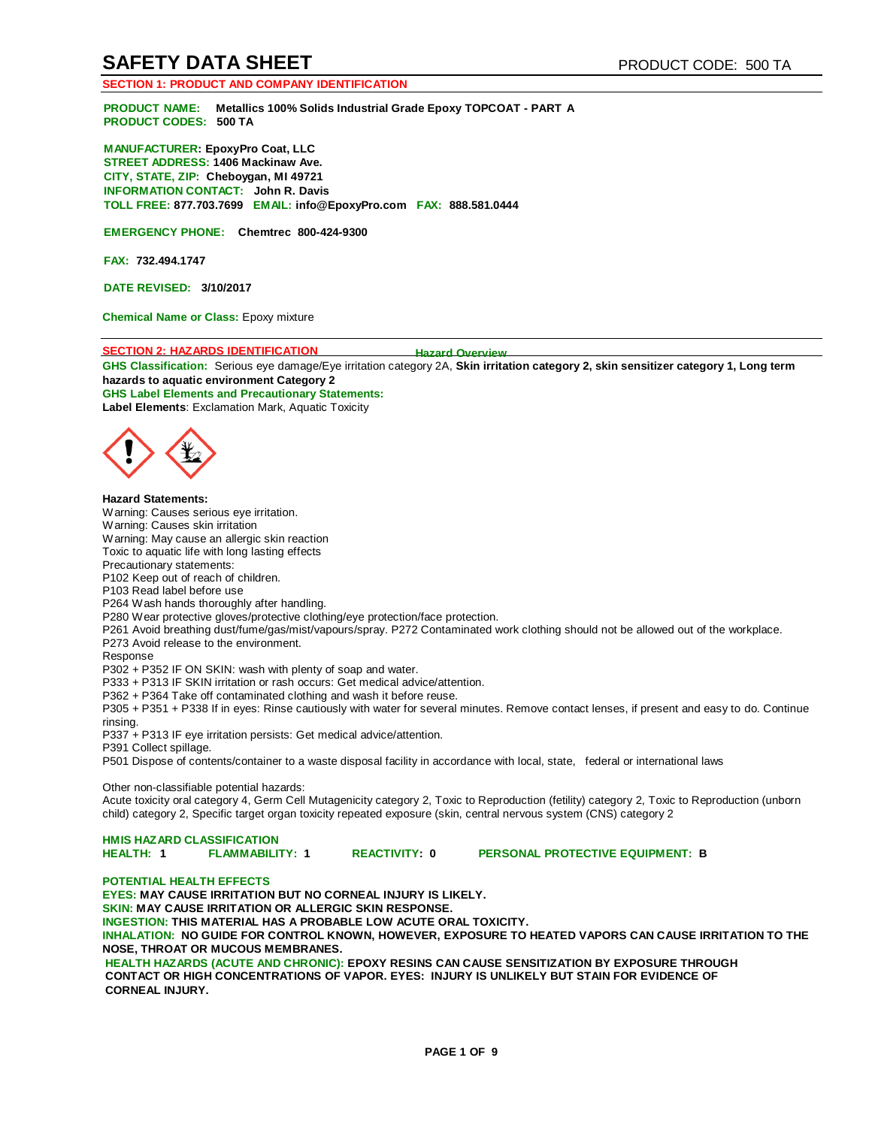# **SAFETY DATA SHEET** PRODUCT CODE: 500 TA

### **SECTION 1: PRODUCT AND COMPANY IDENTIFICATION**

**PRODUCT NAME: Metallics 100% Solids Industrial Grade Epoxy TOPCOAT - PART A PRODUCT CODES: 500 TA**

**MANUFACTURER: EpoxyPro Coat, LLC STREET ADDRESS: 1406 Mackinaw Ave. CITY, STATE, ZIP: Cheboygan, MI 49721 INFORMATION CONTACT: John R. Davis TOLL FREE: 877.703.7699 EMAIL: [info@EpoxyPro.com](mailto:info@EpoxyPro.com) FAX: 888.581.0444**

**EMERGENCY PHONE: Chemtrec 800-424-9300**

**FAX: 732.494.1747**

**DATE REVISED: 3/10/2017**

**Chemical Name or Class:** Epoxy mixture

#### **SECTION 2: HAZARDS IDENTIFICATION Hazard Overview**

**GHS Classification:** Serious eye damage/Eye irritation category 2A, **Skin irritation category 2, skin sensitizer category 1, Long term hazards to aquatic environment Category 2 GHS Label Elements and Precautionary Statements:** 

**Label Elements**: Exclamation Mark, Aquatic Toxicity



**Hazard Statements:**

Warning: Causes serious eye irritation.

Warning: Causes skin irritation Warning: May cause an allergic skin reaction

Toxic to aquatic life with long lasting effects

Precautionary statements:

P102 Keep out of reach of children.

P103 Read label before use

P264 Wash hands thoroughly after handling.

P280 Wear protective gloves/protective clothing/eye protection/face protection.

P261 Avoid breathing dust/fume/gas/mist/vapours/spray. P272 Contaminated work clothing should not be allowed out of the workplace.

P273 Avoid release to the environment.

Response

P302 + P352 IF ON SKIN: wash with plenty of soap and water.

P333 + P313 IF SKIN irritation or rash occurs: Get medical advice/attention.

P362 + P364 Take off contaminated clothing and wash it before reuse.

P305 + P351 + P338 If in eyes: Rinse cautiously with water for several minutes. Remove contact lenses, if present and easy to do. Continue rinsing.

P337 + P313 IF eye irritation persists: Get medical advice/attention.

P391 Collect spillage.

P501 Dispose of contents/container to a waste disposal facility in accordance with local, state, federal or international laws

Other non-classifiable potential hazards:

Acute toxicity oral category 4, Germ Cell Mutagenicity category 2, Toxic to Reproduction (fetility) category 2, Toxic to Reproduction (unborn child) category 2, Specific target organ toxicity repeated exposure (skin, central nervous system (CNS) category 2

### **HMIS HAZARD CLASSIFICATION**

**HEALTH: 1 FLAMMABILITY: 1 REACTIVITY: 0 PERSONAL PROTECTIVE EQUIPMENT: B**

### **POTENTIAL HEALTH EFFECTS**

**EYES: MAY CAUSE IRRITATION BUT NO CORNEAL INJURY IS LIKELY. SKIN: MAY CAUSE IRRITATION OR ALLERGIC SKIN RESPONSE. INGESTION: THIS MATERIAL HAS A PROBABLE LOW ACUTE ORAL TOXICITY. INHALATION: NO GUIDE FOR CONTROL KNOWN, HOWEVER, EXPOSURE TO HEATED VAPORS CAN CAUSE IRRITATION TO THE NOSE, THROAT OR MUCOUS MEMBRANES. HEALTH HAZARDS (ACUTE AND CHRONIC): EPOXY RESINS CAN CAUSE SENSITIZATION BY EXPOSURE THROUGH** 

**CONTACT OR HIGH CONCENTRATIONS OF VAPOR. EYES: INJURY IS UNLIKELY BUT STAIN FOR EVIDENCE OF CORNEAL INJURY.**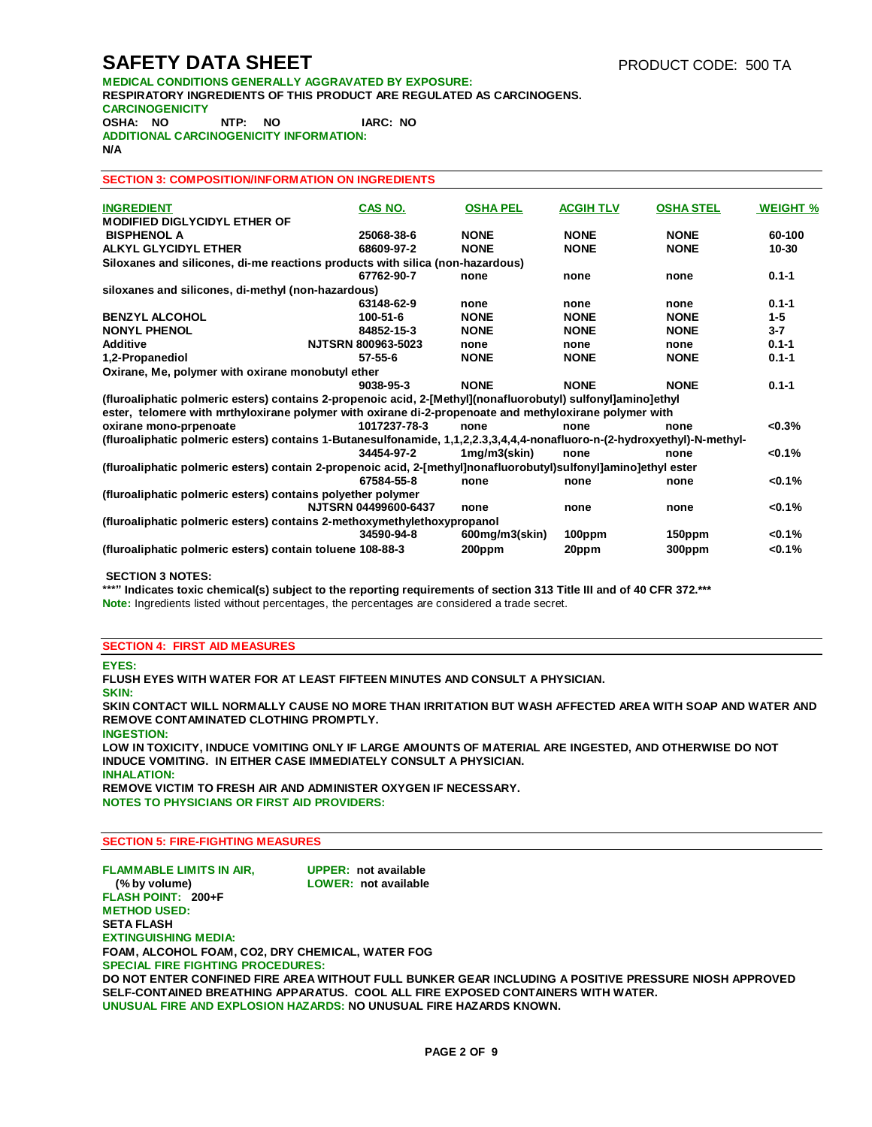# **SAFETY DATA SHEET** PRODUCT CODE: 500 TA

**MEDICAL CONDITIONS GENERALLY AGGRAVATED BY EXPOSURE: RESPIRATORY INGREDIENTS OF THIS PRODUCT ARE REGULATED AS CARCINOGENS. CARCINOGENICITY OSHA: NO NTP: NO IARC: NO ADDITIONAL CARCINOGENICITY INFORMATION: N/A**

#### **SECTION 3: COMPOSITION/INFORMATION ON INGREDIENTS**

| <b>INGREDIENT</b>                                                                                                        | CAS NO.                   | <b>OSHA PEL</b> | <b>ACGIH TLV</b> | <b>OSHA STEL</b> | <b>WEIGHT %</b> |
|--------------------------------------------------------------------------------------------------------------------------|---------------------------|-----------------|------------------|------------------|-----------------|
| MODIFIED DIGLYCIDYL ETHER OF                                                                                             |                           |                 |                  |                  |                 |
| <b>BISPHENOL A</b>                                                                                                       | 25068-38-6                | <b>NONE</b>     | <b>NONE</b>      | <b>NONE</b>      | 60-100          |
| ALKYL GLYCIDYL ETHER                                                                                                     | 68609-97-2                | <b>NONE</b>     | <b>NONE</b>      | <b>NONE</b>      | 10-30           |
| Siloxanes and silicones, di-me reactions products with silica (non-hazardous)                                            |                           |                 |                  |                  |                 |
|                                                                                                                          | 67762-90-7                | none            | none             | none             | $0.1 - 1$       |
| siloxanes and silicones, di-methyl (non-hazardous)                                                                       |                           |                 |                  |                  |                 |
|                                                                                                                          | 63148-62-9                | none            | none             | none             | $0.1 - 1$       |
| <b>BENZYL ALCOHOL</b>                                                                                                    | 100-51-6                  | <b>NONE</b>     | <b>NONE</b>      | <b>NONE</b>      | $1 - 5$         |
| <b>NONYL PHENOL</b>                                                                                                      | 84852-15-3                | <b>NONE</b>     | <b>NONE</b>      | <b>NONE</b>      | $3 - 7$         |
| <b>Additive</b>                                                                                                          | <b>NJTSRN 800963-5023</b> | none            | none             | none             | $0.1 - 1$       |
| 1,2-Propanediol                                                                                                          | $57 - 55 - 6$             | <b>NONE</b>     | <b>NONE</b>      | <b>NONE</b>      | $0.1 - 1$       |
| Oxirane, Me, polymer with oxirane monobutyl ether                                                                        |                           |                 |                  |                  |                 |
|                                                                                                                          | 9038-95-3                 | <b>NONE</b>     | <b>NONE</b>      | <b>NONE</b>      | $0.1 - 1$       |
| (fluroaliphatic polmeric esters) contains 2-propenoic acid, 2-[Methyl](nonafluorobutyl) sulfonyl]amino]ethyl             |                           |                 |                  |                  |                 |
| ester, telomere with mrthyloxirane polymer with oxirane di-2-propenoate and methyloxirane polymer with                   |                           |                 |                  |                  |                 |
| oxirane mono-prpenoate                                                                                                   | 1017237-78-3              | none            | none             | none             | $<0.3\%$        |
| (fluroaliphatic polmeric esters) contains 1-Butanesulfonamide, 1,1,2,2.3,3,4,4,4-nonafluoro-n-(2-hydroxyethyl)-N-methyl- |                           |                 |                  |                  |                 |
|                                                                                                                          | 34454-97-2                | $1mg/m3$ (skin) | none             | none             | $< 0.1\%$       |
| (fluroaliphatic polmeric esters) contain 2-propenoic acid, 2-[methyl]nonafluorobutyl)sulfonyl]amino]ethyl ester          |                           |                 |                  |                  |                 |
|                                                                                                                          | 67584-55-8                | none            | none             | none             | < 0.1%          |
| (fluroaliphatic polmeric esters) contains polyether polymer                                                              |                           |                 |                  |                  |                 |
|                                                                                                                          | NJTSRN 04499600-6437      | none            | none             | none             | < 0.1%          |
| (fluroaliphatic polmeric esters) contains 2-methoxymethylethoxypropanol                                                  |                           |                 |                  |                  |                 |
|                                                                                                                          | 34590-94-8                | 600mg/m3(skin)  | 100ppm           | 150ppm           | $< 0.1\%$       |
| (fluroaliphatic polmeric esters) contain toluene 108-88-3                                                                |                           | 200ppm          | 20ppm            | 300ppm           | < 0.1%          |
|                                                                                                                          |                           |                 |                  |                  |                 |

#### **SECTION 3 NOTES:**

**\*\*\*" Indicates toxic chemical(s) subject to the reporting requirements of section 313 Title III and of 40 CFR 372.\*\*\* Note:** Ingredients listed without percentages, the percentages are considered a trade secret.

#### **SECTION 4: FIRST AID MEASURES**

**EYES:**

**FLUSH EYES WITH WATER FOR AT LEAST FIFTEEN MINUTES AND CONSULT A PHYSICIAN.** 

**SKIN:**

**SKIN CONTACT WILL NORMALLY CAUSE NO MORE THAN IRRITATION BUT WASH AFFECTED AREA WITH SOAP AND WATER AND REMOVE CONTAMINATED CLOTHING PROMPTLY.**

**INGESTION: LOW IN TOXICITY, INDUCE VOMITING ONLY IF LARGE AMOUNTS OF MATERIAL ARE INGESTED, AND OTHERWISE DO NOT INDUCE VOMITING. IN EITHER CASE IMMEDIATELY CONSULT A PHYSICIAN. INHALATION:**

**REMOVE VICTIM TO FRESH AIR AND ADMINISTER OXYGEN IF NECESSARY. NOTES TO PHYSICIANS OR FIRST AID PROVIDERS:**

#### **SECTION 5: FIRE-FIGHTING MEASURES**

**FLAMMABLE LIMITS IN AIR, UPPER: not available LOWER: not available FLASH POINT: 200+F METHOD USED: SETA FLASH EXTINGUISHING MEDIA: FOAM, ALCOHOL FOAM, CO2, DRY CHEMICAL, WATER FOG SPECIAL FIRE FIGHTING PROCEDURES: DO NOT ENTER CONFINED FIRE AREA WITHOUT FULL BUNKER GEAR INCLUDING A POSITIVE PRESSURE NIOSH APPROVED SELF-CONTAINED BREATHING APPARATUS. COOL ALL FIRE EXPOSED CONTAINERS WITH WATER. UNUSUAL FIRE AND EXPLOSION HAZARDS: NO UNUSUAL FIRE HAZARDS KNOWN.**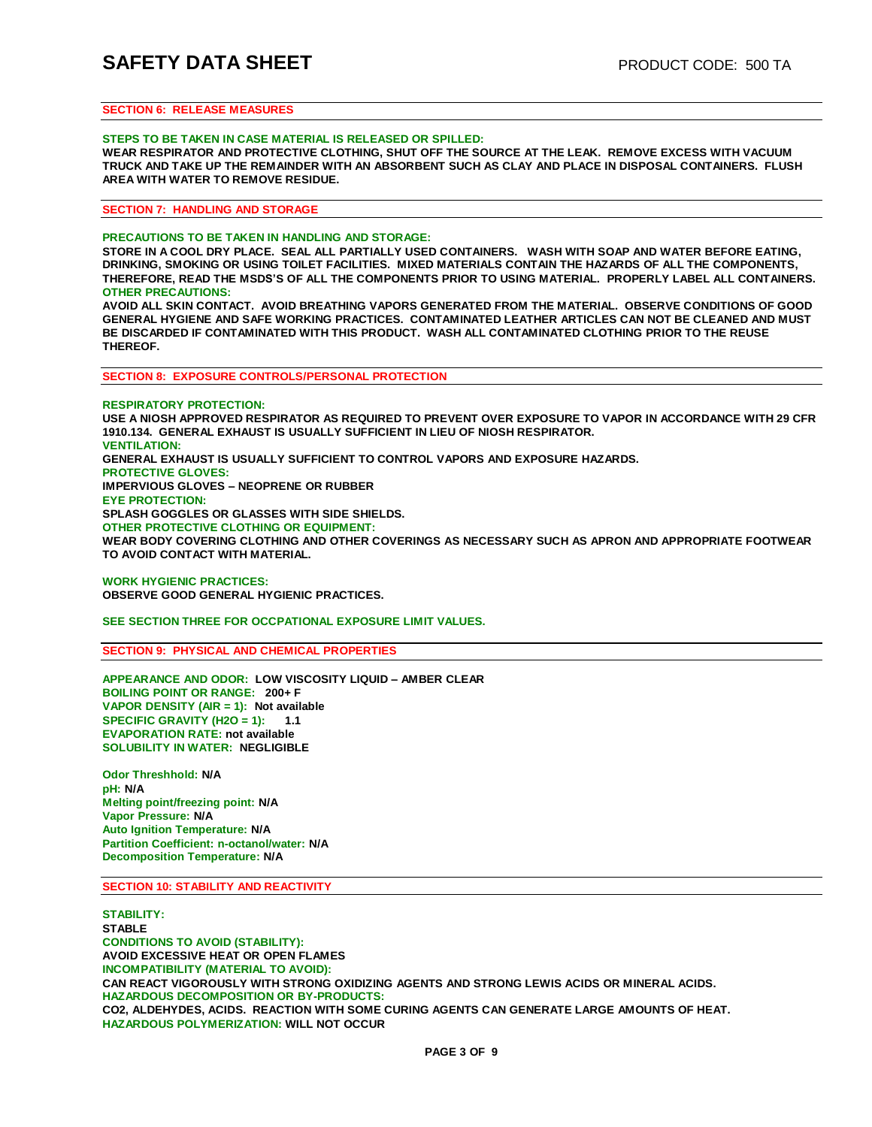### **SECTION 6: RELEASE MEASURES**

#### **STEPS TO BE TAKEN IN CASE MATERIAL IS RELEASED OR SPILLED:**

**WEAR RESPIRATOR AND PROTECTIVE CLOTHING, SHUT OFF THE SOURCE AT THE LEAK. REMOVE EXCESS WITH VACUUM TRUCK AND TAKE UP THE REMAINDER WITH AN ABSORBENT SUCH AS CLAY AND PLACE IN DISPOSAL CONTAINERS. FLUSH AREA WITH WATER TO REMOVE RESIDUE.**

**SECTION 7: HANDLING AND STORAGE**

#### **PRECAUTIONS TO BE TAKEN IN HANDLING AND STORAGE:**

**STORE IN A COOL DRY PLACE. SEAL ALL PARTIALLY USED CONTAINERS. WASH WITH SOAP AND WATER BEFORE EATING, DRINKING, SMOKING OR USING TOILET FACILITIES. MIXED MATERIALS CONTAIN THE HAZARDS OF ALL THE COMPONENTS, THEREFORE, READ THE MSDS'S OF ALL THE COMPONENTS PRIOR TO USING MATERIAL. PROPERLY LABEL ALL CONTAINERS. OTHER PRECAUTIONS:**

**AVOID ALL SKIN CONTACT. AVOID BREATHING VAPORS GENERATED FROM THE MATERIAL. OBSERVE CONDITIONS OF GOOD GENERAL HYGIENE AND SAFE WORKING PRACTICES. CONTAMINATED LEATHER ARTICLES CAN NOT BE CLEANED AND MUST BE DISCARDED IF CONTAMINATED WITH THIS PRODUCT. WASH ALL CONTAMINATED CLOTHING PRIOR TO THE REUSE THEREOF.**

**SECTION 8: EXPOSURE CONTROLS/PERSONAL PROTECTION**

**RESPIRATORY PROTECTION: USE A NIOSH APPROVED RESPIRATOR AS REQUIRED TO PREVENT OVER EXPOSURE TO VAPOR IN ACCORDANCE WITH 29 CFR 1910.134. GENERAL EXHAUST IS USUALLY SUFFICIENT IN LIEU OF NIOSH RESPIRATOR. VENTILATION: GENERAL EXHAUST IS USUALLY SUFFICIENT TO CONTROL VAPORS AND EXPOSURE HAZARDS. PROTECTIVE GLOVES: IMPERVIOUS GLOVES – NEOPRENE OR RUBBER EYE PROTECTION: SPLASH GOGGLES OR GLASSES WITH SIDE SHIELDS. OTHER PROTECTIVE CLOTHING OR EQUIPMENT: WEAR BODY COVERING CLOTHING AND OTHER COVERINGS AS NECESSARY SUCH AS APRON AND APPROPRIATE FOOTWEAR TO AVOID CONTACT WITH MATERIAL.**

**WORK HYGIENIC PRACTICES: OBSERVE GOOD GENERAL HYGIENIC PRACTICES.**

**SEE SECTION THREE FOR OCCPATIONAL EXPOSURE LIMIT VALUES.** 

**SECTION 9: PHYSICAL AND CHEMICAL PROPERTIES**

**APPEARANCE AND ODOR: LOW VISCOSITY LIQUID – AMBER CLEAR BOILING POINT OR RANGE: 200+ F VAPOR DENSITY (AIR = 1): Not available SPECIFIC GRAVITY (H2O = 1): 1.1 EVAPORATION RATE: not available SOLUBILITY IN WATER: NEGLIGIBLE**

**Odor Threshhold: N/A pH: N/A Melting point/freezing point: N/A Vapor Pressure: N/A Auto Ignition Temperature: N/A Partition Coefficient: n-octanol/water: N/A Decomposition Temperature: N/A**

**SECTION 10: STABILITY AND REACTIVITY**

**STABILITY: STABLE CONDITIONS TO AVOID (STABILITY): AVOID EXCESSIVE HEAT OR OPEN FLAMES INCOMPATIBILITY (MATERIAL TO AVOID): CAN REACT VIGOROUSLY WITH STRONG OXIDIZING AGENTS AND STRONG LEWIS ACIDS OR MINERAL ACIDS. HAZARDOUS DECOMPOSITION OR BY-PRODUCTS: CO2, ALDEHYDES, ACIDS. REACTION WITH SOME CURING AGENTS CAN GENERATE LARGE AMOUNTS OF HEAT. HAZARDOUS POLYMERIZATION: WILL NOT OCCUR**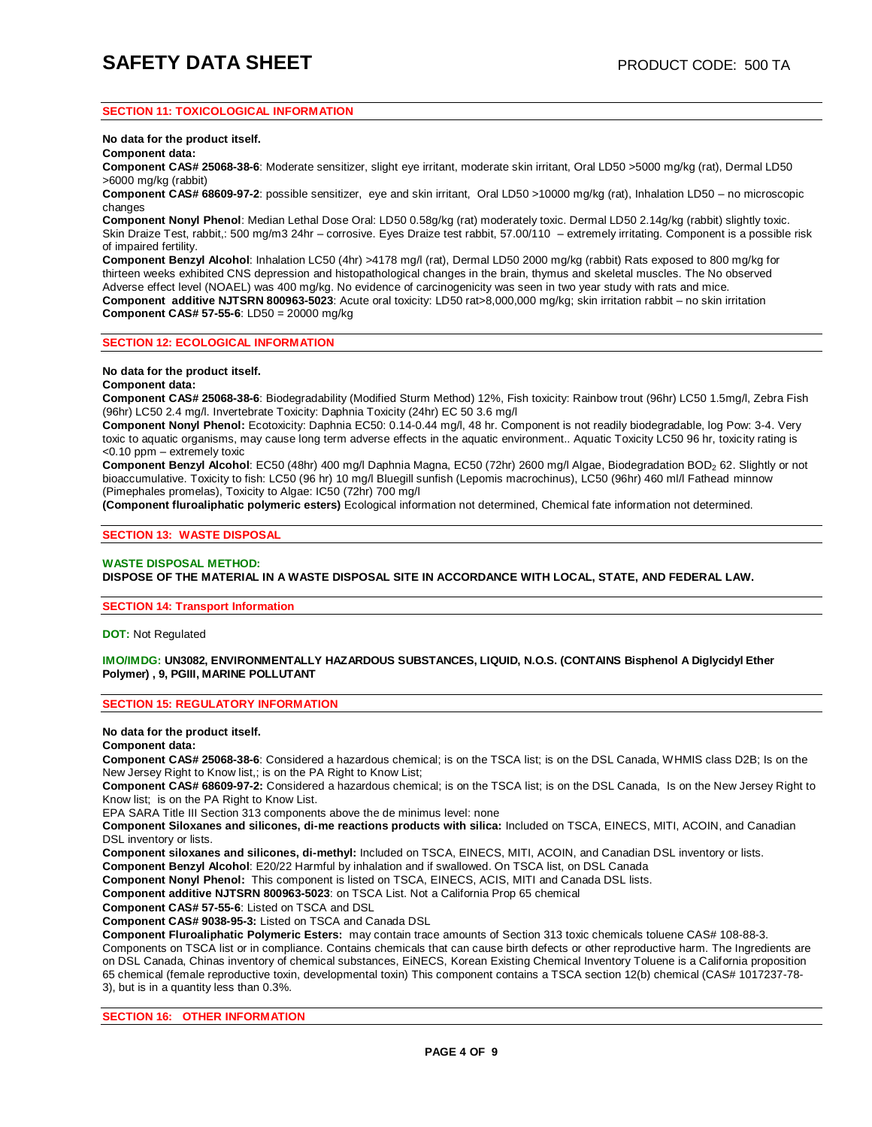### **SECTION 11: TOXICOLOGICAL INFORMATION**

**No data for the product itself.** 

**Component data:**

**Component CAS# 25068-38-6**: Moderate sensitizer, slight eye irritant, moderate skin irritant, Oral LD50 >5000 mg/kg (rat), Dermal LD50 >6000 mg/kg (rabbit)

**Component CAS# 68609-97-2**: possible sensitizer, eye and skin irritant, Oral LD50 >10000 mg/kg (rat), Inhalation LD50 – no microscopic changes

**Component Nonyl Phenol**: Median Lethal Dose Oral: LD50 0.58g/kg (rat) moderately toxic. Dermal LD50 2.14g/kg (rabbit) slightly toxic. Skin Draize Test, rabbit,: 500 mg/m3 24hr – corrosive. Eyes Draize test rabbit, 57.00/110 – extremely irritating. Component is a possible risk of impaired fertility.

**Component Benzyl Alcohol**: Inhalation LC50 (4hr) >4178 mg/l (rat), Dermal LD50 2000 mg/kg (rabbit) Rats exposed to 800 mg/kg for thirteen weeks exhibited CNS depression and histopathological changes in the brain, thymus and skeletal muscles. The No observed Adverse effect level (NOAEL) was 400 mg/kg. No evidence of carcinogenicity was seen in two year study with rats and mice. **Component additive NJTSRN 800963-5023**: Acute oral toxicity: LD50 rat>8,000,000 mg/kg; skin irritation rabbit – no skin irritation **Component CAS# 57-55-6**: LD50 = 20000 mg/kg

**SECTION 12: ECOLOGICAL INFORMATION**

**No data for the product itself.** 

#### **Component data:**

**Component CAS# 25068-38-6**: Biodegradability (Modified Sturm Method) 12%, Fish toxicity: Rainbow trout (96hr) LC50 1.5mg/l, Zebra Fish (96hr) LC50 2.4 mg/l. Invertebrate Toxicity: Daphnia Toxicity (24hr) EC 50 3.6 mg/l

**Component Nonyl Phenol:** Ecotoxicity: Daphnia EC50: 0.14-0.44 mg/l, 48 hr. Component is not readily biodegradable, log Pow: 3-4. Very toxic to aquatic organisms, may cause long term adverse effects in the aquatic environment.. Aquatic Toxicity LC50 96 hr, toxicity rating is <0.10 ppm – extremely toxic

**Component Benzyl Alcohol:** EC50 (48hr) 400 mg/l Daphnia Magna, EC50 (72hr) 2600 mg/l Algae, Biodegradation BOD<sub>2</sub> 62. Slightly or not bioaccumulative. Toxicity to fish: LC50 (96 hr) 10 mg/l Bluegill sunfish (Lepomis macrochinus), LC50 (96hr) 460 ml/l Fathead minnow (Pimephales promelas), Toxicity to Algae: IC50 (72hr) 700 mg/l

**(Component fluroaliphatic polymeric esters)** Ecological information not determined, Chemical fate information not determined.

#### **SECTION 13: WASTE DISPOSAL**

#### **WASTE DISPOSAL METHOD: DISPOSE OF THE MATERIAL IN A WASTE DISPOSAL SITE IN ACCORDANCE WITH LOCAL, STATE, AND FEDERAL LAW.**

#### **SECTION 14: Transport Information**

**DOT:** Not Regulated

#### **IMO/IMDG: UN3082, ENVIRONMENTALLY HAZARDOUS SUBSTANCES, LIQUID, N.O.S. (CONTAINS Bisphenol A Diglycidyl Ether Polymer) , 9, PGIII, MARINE POLLUTANT**

### **SECTION 15: REGULATORY INFORMATION**

**No data for the product itself.** 

#### **Component data:**

**Component CAS# 25068-38-6**: Considered a hazardous chemical; is on the TSCA list; is on the DSL Canada, WHMIS class D2B; Is on the New Jersey Right to Know list,; is on the PA Right to Know List;

**Component CAS# 68609-97-2:** Considered a hazardous chemical; is on the TSCA list; is on the DSL Canada, Is on the New Jersey Right to Know list; is on the PA Right to Know List.

EPA SARA Title III Section 313 components above the de minimus level: none

**Component Siloxanes and silicones, di-me reactions products with silica:** Included on TSCA, EINECS, MITI, ACOIN, and Canadian DSL inventory or lists.

**Component siloxanes and silicones, di-methyl:** Included on TSCA, EINECS, MITI, ACOIN, and Canadian DSL inventory or lists.

**Component Benzyl Alcohol**: E20/22 Harmful by inhalation and if swallowed. On TSCA list, on DSL Canada

**Component Nonyl Phenol:** This component is listed on TSCA, EINECS, ACIS, MITI and Canada DSL lists.

**Component additive NJTSRN 800963-5023**: on TSCA List. Not a California Prop 65 chemical

**Component CAS# 57-55-6**: Listed on TSCA and DSL

**Component CAS# 9038-95-3:** Listed on TSCA and Canada DSL

**Component Fluroaliphatic Polymeric Esters:** may contain trace amounts of Section 313 toxic chemicals toluene CAS# 108-88-3. Components on TSCA list or in compliance. Contains chemicals that can cause birth defects or other reproductive harm. The Ingredients are on DSL Canada, Chinas inventory of chemical substances, EiNECS, Korean Existing Chemical Inventory Toluene is a California proposition 65 chemical (female reproductive toxin, developmental toxin) This component contains a TSCA section 12(b) chemical (CAS# 1017237-78- 3), but is in a quantity less than 0.3%.

**SECTION 16: OTHER INFORMATION**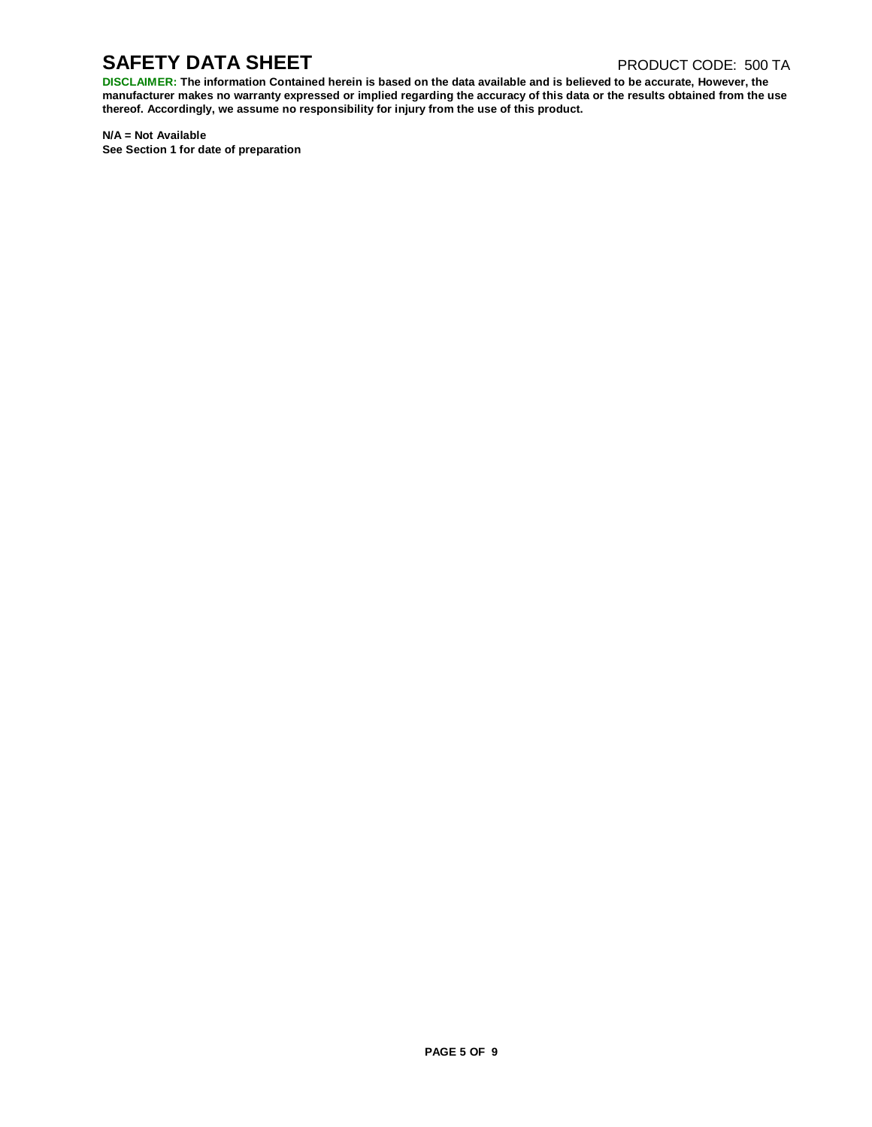# **SAFETY DATA SHEET** PRODUCT CODE: 500 TA

DISCLAIMER: The information Contained herein is based on the data available and is believed to be accurate, However, the manufacturer makes no warranty expressed or implied regarding the accuracy of this data or the results obtained from the use **thereof. Accordingly, we assume no responsibility for injury from the use of this product.**

**N/A = Not Available See Section 1 for date of preparation**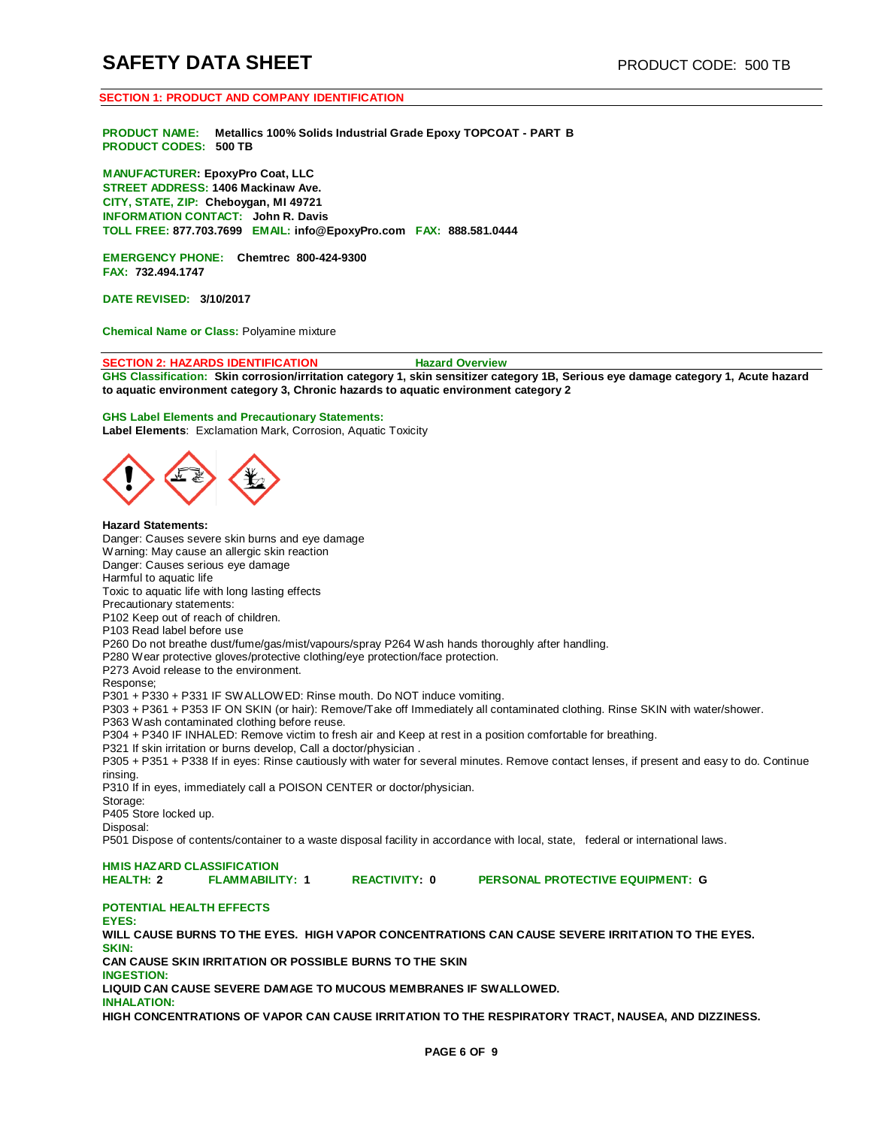# **SAFETY DATA SHEET** PRODUCT CODE: 500 TB

#### **SECTION 1: PRODUCT AND COMPANY IDENTIFICATION**

**PRODUCT NAME: Metallics 100% Solids Industrial Grade Epoxy TOPCOAT - PART B PRODUCT CODES: 500 TB**

**MANUFACTURER: EpoxyPro Coat, LLC STREET ADDRESS: 1406 Mackinaw Ave. CITY, STATE, ZIP: Cheboygan, MI 49721 INFORMATION CONTACT: John R. Davis TOLL FREE: 877.703.7699 EMAIL: [info@EpoxyPro.com](mailto:info@EpoxyPro.com) FAX: 888.581.0444**

**EMERGENCY PHONE: Chemtrec 800-424-9300 FAX: 732.494.1747**

**DATE REVISED: 3/10/2017**

**Chemical Name or Class:** Polyamine mixture

#### **SECTION 2: HAZARDS IDENTIFICATION Hazard Overview**

GHS Classification: Skin corrosion/irritation category 1, skin sensitizer category 1B, Serious eye damage category 1, Acute hazard **to aquatic environment category 3, Chronic hazards to aquatic environment category 2**

#### **GHS Label Elements and Precautionary Statements:**

**Label Elements**: Exclamation Mark, Corrosion, Aquatic Toxicity



#### **Hazard Statements:**

Danger: Causes severe skin burns and eye damage Warning: May cause an allergic skin reaction Danger: Causes serious eye damage Harmful to aquatic life Toxic to aquatic life with long lasting effects Precautionary statements: P102 Keep out of reach of children. P103 Read label before use P260 Do not breathe dust/fume/gas/mist/vapours/spray P264 Wash hands thoroughly after handling. P280 Wear protective gloves/protective clothing/eye protection/face protection. P273 Avoid release to the environment. Response; P301 + P330 + P331 IF SWALLOWED: Rinse mouth. Do NOT induce vomiting. P303 + P361 + P353 IF ON SKIN (or hair): Remove/Take off Immediately all contaminated clothing. Rinse SKIN with water/shower. P363 Wash contaminated clothing before reuse. P304 + P340 IF INHALED: Remove victim to fresh air and Keep at rest in a position comfortable for breathing. P321 If skin irritation or burns develop, Call a doctor/physician . P305 + P351 + P338 If in eyes: Rinse cautiously with water for several minutes. Remove contact lenses, if present and easy to do. Continue rinsing. P310 If in eyes, immediately call a POISON CENTER or doctor/physician. Storage: P405 Store locked up.

Disposal:

P501 Dispose of contents/container to a waste disposal facility in accordance with local, state, federal or international laws.

**HMIS HAZARD CLASSIFICATION**

**HEALTH: 2 FLAMMABILITY: 1 REACTIVITY: 0 PERSONAL PROTECTIVE EQUIPMENT: G**

# **POTENTIAL HEALTH EFFECTS**

**EYES: WILL CAUSE BURNS TO THE EYES. HIGH VAPOR CONCENTRATIONS CAN CAUSE SEVERE IRRITATION TO THE EYES. SKIN: CAN CAUSE SKIN IRRITATION OR POSSIBLE BURNS TO THE SKIN** 

**INGESTION:**

**LIQUID CAN CAUSE SEVERE DAMAGE TO MUCOUS MEMBRANES IF SWALLOWED.** 

**INHALATION:**

**HIGH CONCENTRATIONS OF VAPOR CAN CAUSE IRRITATION TO THE RESPIRATORY TRACT, NAUSEA, AND DIZZINESS.**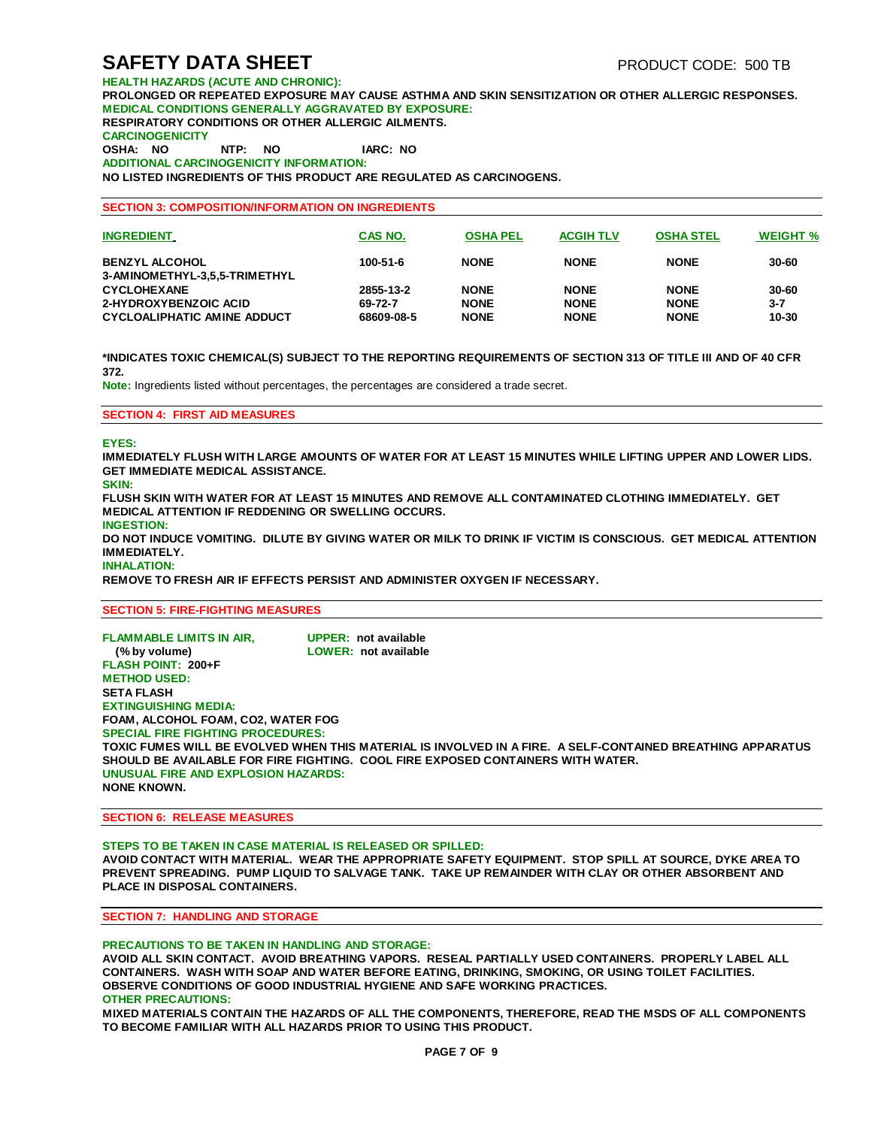**HEALTH HAZARDS (ACUTE AND CHRONIC): PROLONGED OR REPEATED EXPOSURE MAY CAUSE ASTHMA AND SKIN SENSITIZATION OR OTHER ALLERGIC RESPONSES. MEDICAL CONDITIONS GENERALLY AGGRAVATED BY EXPOSURE: RESPIRATORY CONDITIONS OR OTHER ALLERGIC AILMENTS. CARCINOGENICITY OSHA: NO NTP: NO IARC: NO ADDITIONAL CARCINOGENICITY INFORMATION: NO LISTED INGREDIENTS OF THIS PRODUCT ARE REGULATED AS CARCINOGENS.**

#### **SECTION 3: COMPOSITION/INFORMATION ON INGREDIENTS**

| <b>INGREDIENT</b>                                      | CAS NO.    | <b>OSHA PEL</b> | <b>ACGIH TLV</b> | <b>OSHA STEL</b> | <b>WEIGHT %</b> |
|--------------------------------------------------------|------------|-----------------|------------------|------------------|-----------------|
| <b>BENZYL ALCOHOL</b><br>3-AMINOMETHYL-3,5,5-TRIMETHYL | 100-51-6   | <b>NONE</b>     | <b>NONE</b>      | <b>NONE</b>      | 30-60           |
| <b>CYCLOHEXANE</b>                                     | 2855-13-2  | <b>NONE</b>     | <b>NONE</b>      | <b>NONE</b>      | 30-60           |
| 2-HYDROXYBENZOIC ACID                                  | 69-72-7    | <b>NONE</b>     | <b>NONE</b>      | <b>NONE</b>      | $3 - 7$         |
| CYCLOALIPHATIC AMINE ADDUCT                            | 68609-08-5 | <b>NONE</b>     | <b>NONE</b>      | <b>NONE</b>      | 10-30           |

**\*INDICATES TOXIC CHEMICAL(S) SUBJECT TO THE REPORTING REQUIREMENTS OF SECTION 313 OF TITLE III AND OF 40 CFR 372.**

**Note:** Ingredients listed without percentages, the percentages are considered a trade secret.

#### **SECTION 4: FIRST AID MEASURES**

#### **EYES:**

**IMMEDIATELY FLUSH WITH LARGE AMOUNTS OF WATER FOR AT LEAST 15 MINUTES WHILE LIFTING UPPER AND LOWER LIDS. GET IMMEDIATE MEDICAL ASSISTANCE.**

**SKIN:**

**FLUSH SKIN WITH WATER FOR AT LEAST 15 MINUTES AND REMOVE ALL CONTAMINATED CLOTHING IMMEDIATELY. GET MEDICAL ATTENTION IF REDDENING OR SWELLING OCCURS.**

**INGESTION:**

**DO NOT INDUCE VOMITING. DILUTE BY GIVING WATER OR MILK TO DRINK IF VICTIM IS CONSCIOUS. GET MEDICAL ATTENTION IMMEDIATELY.**

**INHALATION:**

**REMOVE TO FRESH AIR IF EFFECTS PERSIST AND ADMINISTER OXYGEN IF NECESSARY.**

### **SECTION 5: FIRE-FIGHTING MEASURES**

| <b>FLAMMABLE LIMITS IN AIR.</b><br>(% by volume) | UPPER: not available<br>LOWER: not available |                                                                                                             |
|--------------------------------------------------|----------------------------------------------|-------------------------------------------------------------------------------------------------------------|
| <b>FLASH POINT: 200+F</b>                        |                                              |                                                                                                             |
| <b>METHOD USED:</b>                              |                                              |                                                                                                             |
| <b>SETA FLASH</b>                                |                                              |                                                                                                             |
| <b>EXTINGUISHING MEDIA:</b>                      |                                              |                                                                                                             |
| <b>FOAM. ALCOHOL FOAM. CO2. WATER FOG</b>        |                                              |                                                                                                             |
| <b>SPECIAL FIRE FIGHTING PROCEDURES:</b>         |                                              |                                                                                                             |
|                                                  |                                              | TOXIC FUMES WILL BE EVOLVED WHEN THIS MATERIAL IS INVOLVED IN A FIRE.  A SELF-CONTAINED BREATHING APPARATUS |
|                                                  |                                              | SHOULD BE AVAILABLE FOR FIRE FIGHTING. COOL FIRE EXPOSED CONTAINERS WITH WATER.                             |
| UNUSUAL FIRE AND EXPLOSION HAZARDS:              |                                              |                                                                                                             |
| <b>NONE KNOWN.</b>                               |                                              |                                                                                                             |

#### **SECTION 6: RELEASE MEASURES**

**STEPS TO BE TAKEN IN CASE MATERIAL IS RELEASED OR SPILLED:**

**AVOID CONTACT WITH MATERIAL. WEAR THE APPROPRIATE SAFETY EQUIPMENT. STOP SPILL AT SOURCE, DYKE AREA TO PREVENT SPREADING. PUMP LIQUID TO SALVAGE TANK. TAKE UP REMAINDER WITH CLAY OR OTHER ABSORBENT AND PLACE IN DISPOSAL CONTAINERS.**

### **SECTION 7: HANDLING AND STORAGE**

#### **PRECAUTIONS TO BE TAKEN IN HANDLING AND STORAGE:**

**AVOID ALL SKIN CONTACT. AVOID BREATHING VAPORS. RESEAL PARTIALLY USED CONTAINERS. PROPERLY LABEL ALL CONTAINERS. WASH WITH SOAP AND WATER BEFORE EATING, DRINKING, SMOKING, OR USING TOILET FACILITIES. OBSERVE CONDITIONS OF GOOD INDUSTRIAL HYGIENE AND SAFE WORKING PRACTICES. OTHER PRECAUTIONS:**

**MIXED MATERIALS CONTAIN THE HAZARDS OF ALL THE COMPONENTS, THEREFORE, READ THE MSDS OF ALL COMPONENTS TO BECOME FAMILIAR WITH ALL HAZARDS PRIOR TO USING THIS PRODUCT.**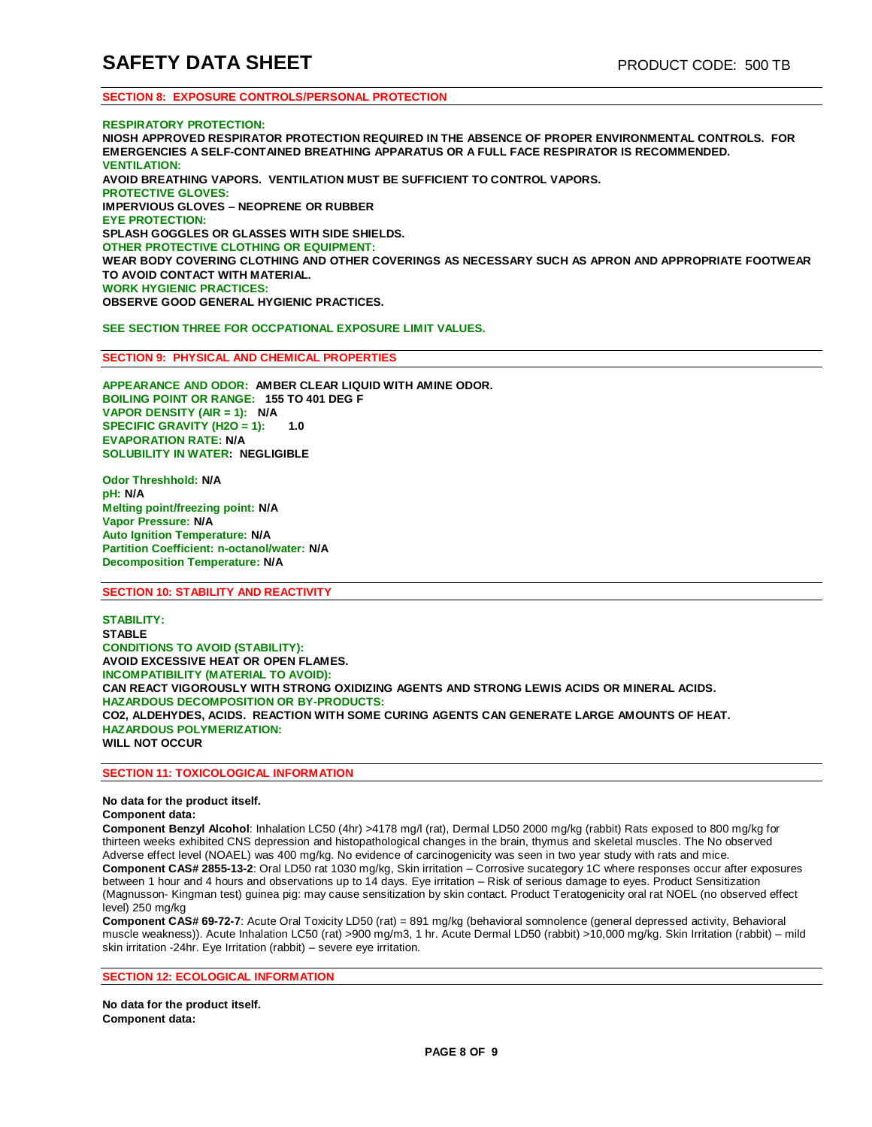### **SECTION 8: EXPOSURE CONTROLS/PERSONAL PROTECTION**

#### **RESPIRATORY PROTECTION:**

**NIOSH APPROVED RESPIRATOR PROTECTION REQUIRED IN THE ABSENCE OF PROPER ENVIRONMENTAL CONTROLS. FOR EMERGENCIES A SELF-CONTAINED BREATHING APPARATUS OR A FULL FACE RESPIRATOR IS RECOMMENDED. VENTILATION: AVOID BREATHING VAPORS. VENTILATION MUST BE SUFFICIENT TO CONTROL VAPORS. PROTECTIVE GLOVES: IMPERVIOUS GLOVES – NEOPRENE OR RUBBER EYE PROTECTION: SPLASH GOGGLES OR GLASSES WITH SIDE SHIELDS. OTHER PROTECTIVE CLOTHING OR EQUIPMENT: WEAR BODY COVERING CLOTHING AND OTHER COVERINGS AS NECESSARY SUCH AS APRON AND APPROPRIATE FOOTWEAR TO AVOID CONTACT WITH MATERIAL. WORK HYGIENIC PRACTICES: OBSERVE GOOD GENERAL HYGIENIC PRACTICES.**

#### **SEE SECTION THREE FOR OCCPATIONAL EXPOSURE LIMIT VALUES.**

#### **SECTION 9: PHYSICAL AND CHEMICAL PROPERTIES**

**APPEARANCE AND ODOR: AMBER CLEAR LIQUID WITH AMINE ODOR. BOILING POINT OR RANGE: 155 TO 401 DEG F VAPOR DENSITY (AIR = 1): N/A SPECIFIC GRAVITY (H2O = 1): 1.0 EVAPORATION RATE: N/A SOLUBILITY IN WATER: NEGLIGIBLE**

**Odor Threshhold: N/A pH: N/A Melting point/freezing point: N/A Vapor Pressure: N/A Auto Ignition Temperature: N/A Partition Coefficient: n-octanol/water: N/A Decomposition Temperature: N/A**

#### **SECTION 10: STABILITY AND REACTIVITY**

**STABILITY: STABLE CONDITIONS TO AVOID (STABILITY): AVOID EXCESSIVE HEAT OR OPEN FLAMES. INCOMPATIBILITY (MATERIAL TO AVOID): CAN REACT VIGOROUSLY WITH STRONG OXIDIZING AGENTS AND STRONG LEWIS ACIDS OR MINERAL ACIDS. HAZARDOUS DECOMPOSITION OR BY-PRODUCTS: CO2, ALDEHYDES, ACIDS. REACTION WITH SOME CURING AGENTS CAN GENERATE LARGE AMOUNTS OF HEAT. HAZARDOUS POLYMERIZATION: WILL NOT OCCUR**

#### **SECTION 11: TOXICOLOGICAL INFORMATION**

#### **No data for the product itself.**

### **Component data:**

**Component Benzyl Alcohol**: Inhalation LC50 (4hr) >4178 mg/l (rat), Dermal LD50 2000 mg/kg (rabbit) Rats exposed to 800 mg/kg for thirteen weeks exhibited CNS depression and histopathological changes in the brain, thymus and skeletal muscles. The No observed Adverse effect level (NOAEL) was 400 mg/kg. No evidence of carcinogenicity was seen in two year study with rats and mice. **Component CAS# 2855-13-2**: Oral LD50 rat 1030 mg/kg, Skin irritation – Corrosive sucategory 1C where responses occur after exposures between 1 hour and 4 hours and observations up to 14 days. Eye irritation – Risk of serious damage to eyes. Product Sensitization (Magnusson- Kingman test) guinea pig: may cause sensitization by skin contact. Product Teratogenicity oral rat NOEL (no observed effect level) 250 mg/kg

**Component CAS# 69-72-7**: Acute Oral Toxicity LD50 (rat) = 891 mg/kg (behavioral somnolence (general depressed activity, Behavioral muscle weakness)). Acute Inhalation LC50 (rat) >900 mg/m3, 1 hr. Acute Dermal LD50 (rabbit) >10,000 mg/kg. Skin Irritation (rabbit) – mild skin irritation -24hr. Eye Irritation (rabbit) – severe eye irritation.

### **SECTION 12: ECOLOGICAL INFORMATION**

**No data for the product itself. Component data:**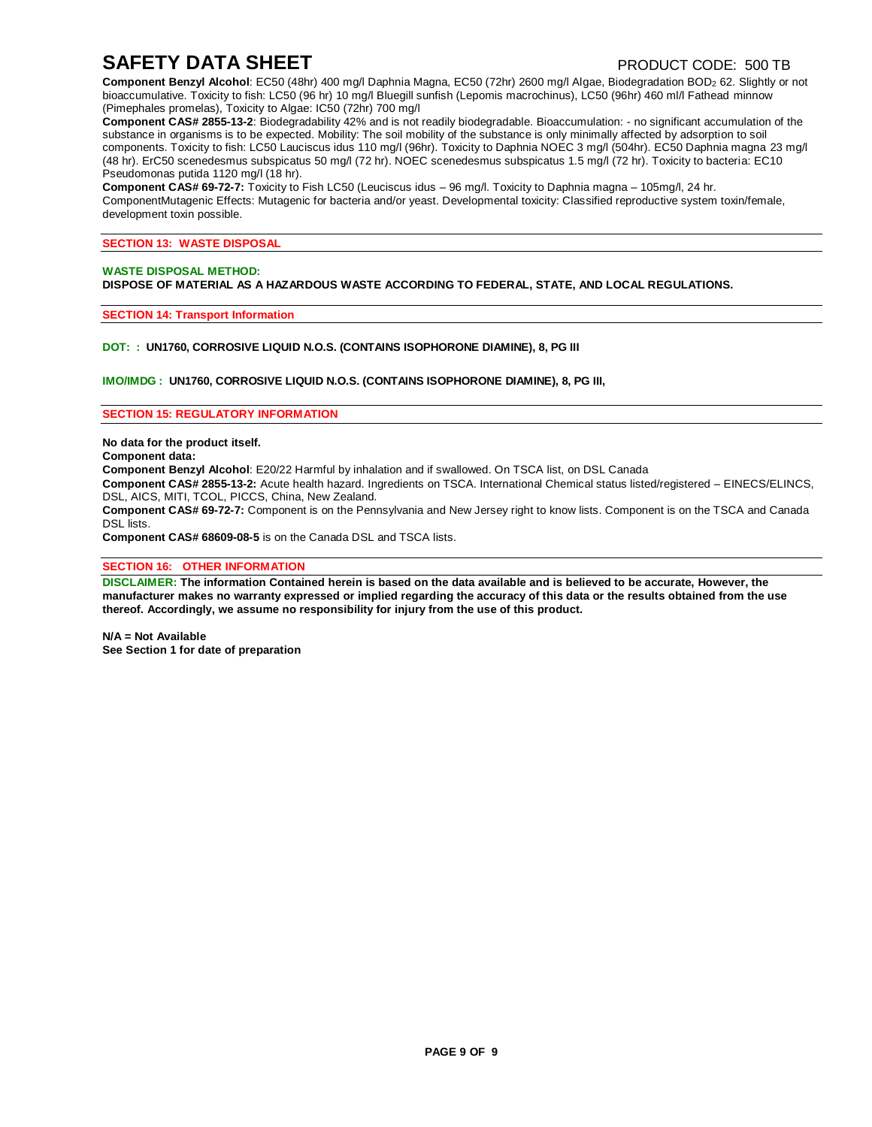# **SAFETY DATA SHEET** PRODUCT CODE: 500 TB

**Component Benzyl Alcohol:** EC50 (48hr) 400 mg/l Daphnia Magna, EC50 (72hr) 2600 mg/l Algae, Biodegradation BOD<sub>2</sub> 62. Slightly or not bioaccumulative. Toxicity to fish: LC50 (96 hr) 10 mg/l Bluegill sunfish (Lepomis macrochinus), LC50 (96hr) 460 ml/l Fathead minnow (Pimephales promelas), Toxicity to Algae: IC50 (72hr) 700 mg/l

**Component CAS# 2855-13-2**: Biodegradability 42% and is not readily biodegradable. Bioaccumulation: - no significant accumulation of the substance in organisms is to be expected. Mobility: The soil mobility of the substance is only minimally affected by adsorption to soil components. Toxicity to fish: LC50 Lauciscus idus 110 mg/l (96hr). Toxicity to Daphnia NOEC 3 mg/l (504hr). EC50 Daphnia magna 23 mg/l (48 hr). ErC50 scenedesmus subspicatus 50 mg/l (72 hr). NOEC scenedesmus subspicatus 1.5 mg/l (72 hr). Toxicity to bacteria: EC10 Pseudomonas putida 1120 mg/l (18 hr).

**Component CAS# 69-72-7:** Toxicity to Fish LC50 (Leuciscus idus – 96 mg/l. Toxicity to Daphnia magna – 105mg/l, 24 hr. ComponentMutagenic Effects: Mutagenic for bacteria and/or yeast. Developmental toxicity: Classified reproductive system toxin/female, development toxin possible.

#### **SECTION 13: WASTE DISPOSAL**

### **WASTE DISPOSAL METHOD:**

**DISPOSE OF MATERIAL AS A HAZARDOUS WASTE ACCORDING TO FEDERAL, STATE, AND LOCAL REGULATIONS.**

#### **SECTION 14: Transport Information**

### **DOT: : UN1760, CORROSIVE LIQUID N.O.S. (CONTAINS ISOPHORONE DIAMINE), 8, PG III**

**IMO/IMDG : UN1760, CORROSIVE LIQUID N.O.S. (CONTAINS ISOPHORONE DIAMINE), 8, PG III,**

#### **SECTION 15: REGULATORY INFORMATION**

**No data for the product itself.** 

#### **Component data:**

**Component Benzyl Alcohol**: E20/22 Harmful by inhalation and if swallowed. On TSCA list, on DSL Canada

**Component CAS# 2855-13-2:** Acute health hazard. Ingredients on TSCA. International Chemical status listed/registered – EINECS/ELINCS, DSL, AICS, MITI, TCOL, PICCS, China, New Zealand.

**Component CAS# 69-72-7:** Component is on the Pennsylvania and New Jersey right to know lists. Component is on the TSCA and Canada DSL lists.

**Component CAS# 68609-08-5** is on the Canada DSL and TSCA lists.

#### **SECTION 16: OTHER INFORMATION**

DISCLAIMER: The information Contained herein is based on the data available and is believed to be accurate, However, the manufacturer makes no warranty expressed or implied regarding the accuracy of this data or the results obtained from the use **thereof. Accordingly, we assume no responsibility for injury from the use of this product.**

**N/A = Not Available See Section 1 for date of preparation**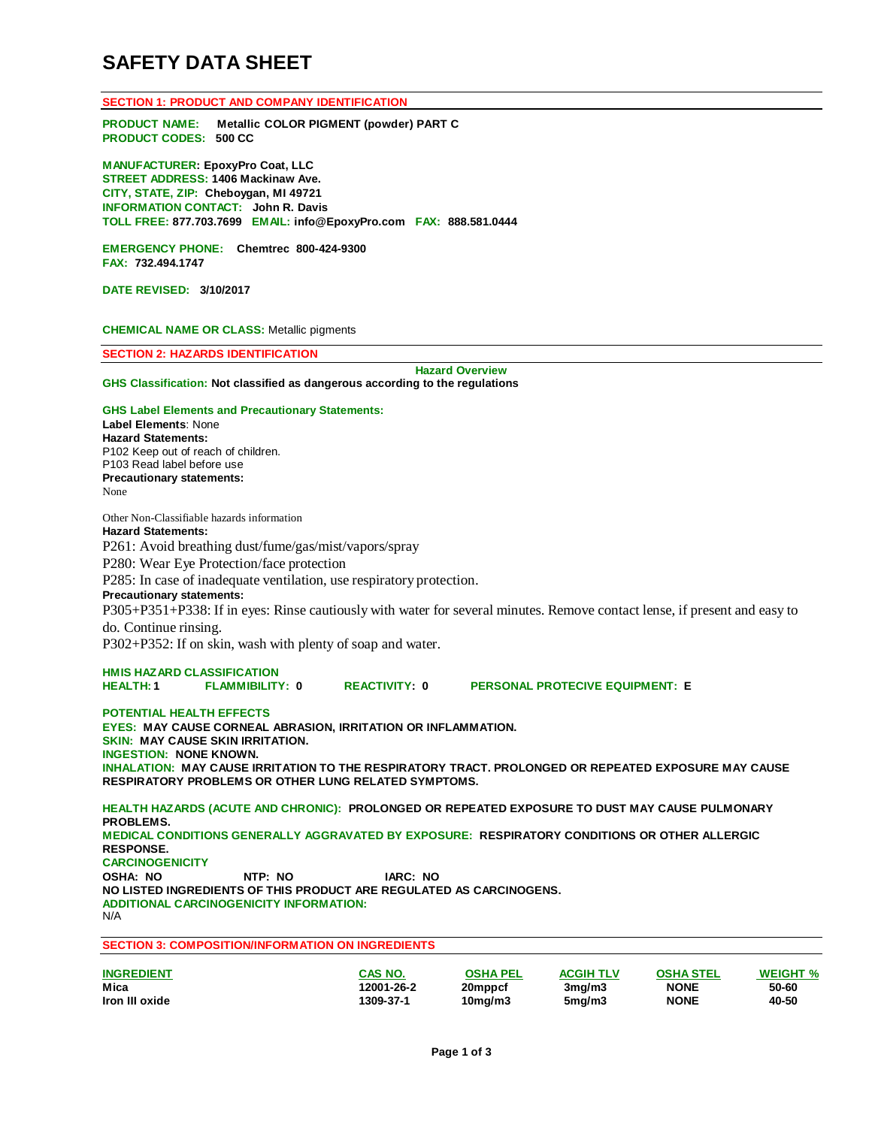# **SAFETY DATA SHEET**

**SECTION 1: PRODUCT AND COMPANY IDENTIFICATION**

**PRODUCT NAME: Metallic COLOR PIGMENT (powder) PART C PRODUCT CODES: 500 CC**

**MANUFACTURER: EpoxyPro Coat, LLC STREET ADDRESS: 1406 Mackinaw Ave. CITY, STATE, ZIP: Cheboygan, MI 49721 INFORMATION CONTACT: John R. Davis TOLL FREE: 877.703.7699 EMAIL: [info@EpoxyPro.com](mailto:info@EpoxyPro.com) FAX: 888.581.0444**

**EMERGENCY PHONE: Chemtrec 800-424-9300 FAX: 732.494.1747**

**DATE REVISED: 3/10/2017**

**CHEMICAL NAME OR CLASS:** Metallic pigments

**SECTION 2: HAZARDS IDENTIFICATION**

**Hazard Overview**

**GHS Classification: Not classified as dangerous according to the regulations**

**GHS Label Elements and Precautionary Statements: Label Elements**: None **Hazard Statements:** P102 Keep out of reach of children. P103 Read label before use **Precautionary statements:** None

Other Non-Classifiable hazards information **Hazard Statements:**

P261: Avoid breathing dust/fume/gas/mist/vapors/spray

P280: Wear Eye Protection/face protection

P285: In case of inadequate ventilation, use respiratory protection.

#### **Precautionary statements:**

P305+P351+P338: If in eyes: Rinse cautiously with water for several minutes. Remove contact lense, if present and easy to do. Continue rinsing.

P302+P352: If on skin, wash with plenty of soap and water.

### **HMIS HAZARD CLASSIFICATION**

**HEALTH: 1 FLAMMIBILITY: 0 REACTIVITY: 0 PERSONAL PROTECIVE EQUIPMENT: E**

#### **POTENTIAL HEALTH EFFECTS**

**EYES: MAY CAUSE CORNEAL ABRASION, IRRITATION OR INFLAMMATION. SKIN: MAY CAUSE SKIN IRRITATION. INGESTION: NONE KNOWN. INHALATION: MAY CAUSE IRRITATION TO THE RESPIRATORY TRACT. PROLONGED OR REPEATED EXPOSURE MAY CAUSE RESPIRATORY PROBLEMS OR OTHER LUNG RELATED SYMPTOMS.**

**HEALTH HAZARDS (ACUTE AND CHRONIC): PROLONGED OR REPEATED EXPOSURE TO DUST MAY CAUSE PULMONARY PROBLEMS. MEDICAL CONDITIONS GENERALLY AGGRAVATED BY EXPOSURE: RESPIRATORY CONDITIONS OR OTHER ALLERGIC RESPONSE. CARCINOGENICITY OSHA: NO NTP: NO IARC: NO NO LISTED INGREDIENTS OF THIS PRODUCT ARE REGULATED AS CARCINOGENS. ADDITIONAL CARCINOGENICITY INFORMATION:** N/A **SECTION 3: COMPOSITION/INFORMATION ON INGREDIENTS**

| <b>INGREDIENT</b> | CAS NO.    | <b>OSHA PEL</b>      | <b>ACGIH TLV</b>    | <b>OSHA STEL</b> | <b>WEIGHT %</b> |
|-------------------|------------|----------------------|---------------------|------------------|-----------------|
| Mica              | 12001-26-2 | 20mppcf              | 3 <sub>mq</sub> /m3 | <b>NONE</b>      | 50-60           |
| Iron III oxide    | 1309-37-1  | 10 <sub>ma</sub> /m3 | 5 <sub>mq</sub> /m3 | <b>NONE</b>      | 40-50           |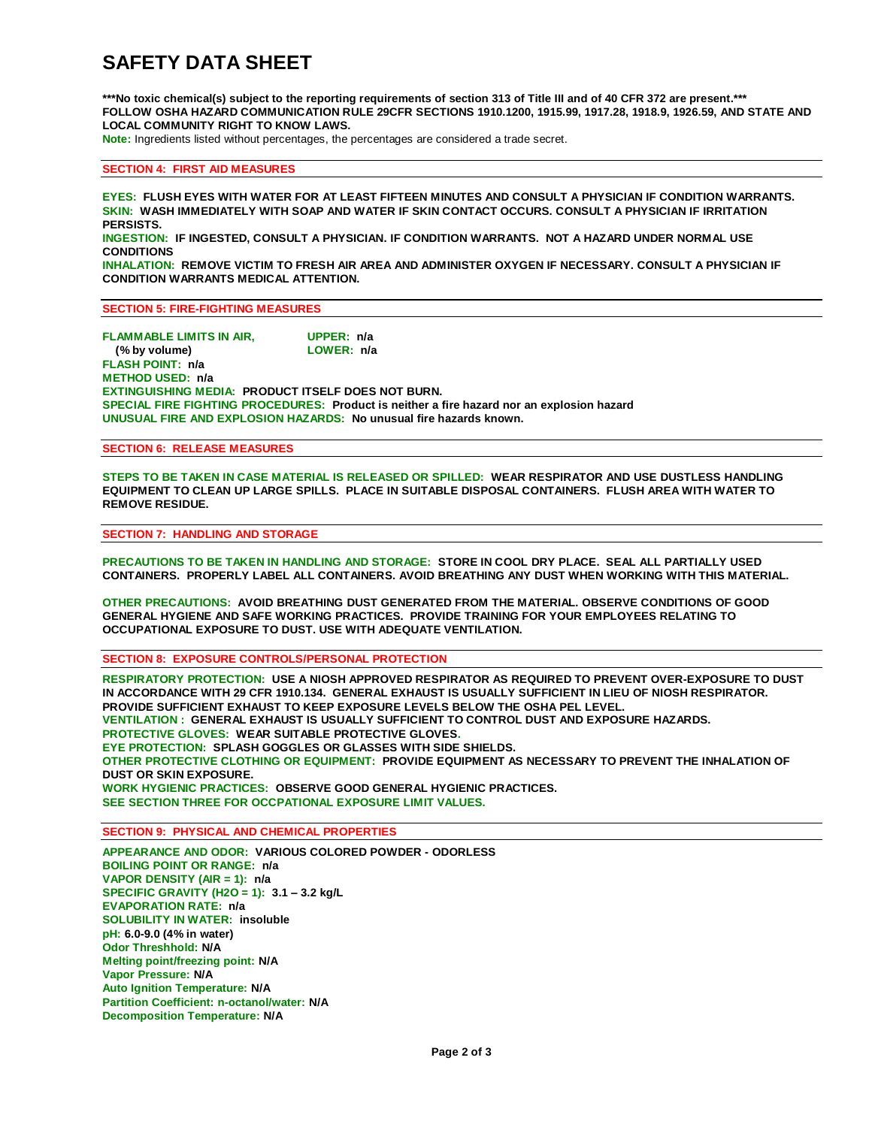# **SAFETY DATA SHEET**

\*\*\*No toxic chemical(s) subject to the reporting requirements of section 313 of Title III and of 40 CFR 372 are present.\*\*\* **FOLLOW OSHA HAZARD COMMUNICATION RULE 29CFR SECTIONS 1910.1200, 1915.99, 1917.28, 1918.9, 1926.59, AND STATE AND LOCAL COMMUNITY RIGHT TO KNOW LAWS.**

**Note:** Ingredients listed without percentages, the percentages are considered a trade secret.

#### **SECTION 4: FIRST AID MEASURES**

**EYES: FLUSH EYES WITH WATER FOR AT LEAST FIFTEEN MINUTES AND CONSULT A PHYSICIAN IF CONDITION WARRANTS. SKIN: WASH IMMEDIATELY WITH SOAP AND WATER IF SKIN CONTACT OCCURS. CONSULT A PHYSICIAN IF IRRITATION PERSISTS.**

**INGESTION: IF INGESTED, CONSULT A PHYSICIAN. IF CONDITION WARRANTS. NOT A HAZARD UNDER NORMAL USE CONDITIONS**

**INHALATION: REMOVE VICTIM TO FRESH AIR AREA AND ADMINISTER OXYGEN IF NECESSARY. CONSULT A PHYSICIAN IF CONDITION WARRANTS MEDICAL ATTENTION.**

**SECTION 5: FIRE-FIGHTING MEASURES**

**FLAMMABLE LIMITS IN AIR, UPPER: n/a (% by volume) FLASH POINT: n/a METHOD USED: n/a EXTINGUISHING MEDIA: PRODUCT ITSELF DOES NOT BURN. SPECIAL FIRE FIGHTING PROCEDURES: Product is neither a fire hazard nor an explosion hazard UNUSUAL FIRE AND EXPLOSION HAZARDS: No unusual fire hazards known.**

### **SECTION 6: RELEASE MEASURES**

**STEPS TO BE TAKEN IN CASE MATERIAL IS RELEASED OR SPILLED: WEAR RESPIRATOR AND USE DUSTLESS HANDLING EQUIPMENT TO CLEAN UP LARGE SPILLS. PLACE IN SUITABLE DISPOSAL CONTAINERS. FLUSH AREA WITH WATER TO REMOVE RESIDUE.**

#### **SECTION 7: HANDLING AND STORAGE**

**PRECAUTIONS TO BE TAKEN IN HANDLING AND STORAGE: STORE IN COOL DRY PLACE. SEAL ALL PARTIALLY USED CONTAINERS. PROPERLY LABEL ALL CONTAINERS. AVOID BREATHING ANY DUST WHEN WORKING WITH THIS MATERIAL.**

**OTHER PRECAUTIONS: AVOID BREATHING DUST GENERATED FROM THE MATERIAL. OBSERVE CONDITIONS OF GOOD GENERAL HYGIENE AND SAFE WORKING PRACTICES. PROVIDE TRAINING FOR YOUR EMPLOYEES RELATING TO OCCUPATIONAL EXPOSURE TO DUST. USE WITH ADEQUATE VENTILATION.**

**SECTION 8: EXPOSURE CONTROLS/PERSONAL PROTECTION**

**RESPIRATORY PROTECTION: USE A NIOSH APPROVED RESPIRATOR AS REQUIRED TO PREVENT OVER-EXPOSURE TO DUST IN ACCORDANCE WITH 29 CFR 1910.134. GENERAL EXHAUST IS USUALLY SUFFICIENT IN LIEU OF NIOSH RESPIRATOR. PROVIDE SUFFICIENT EXHAUST TO KEEP EXPOSURE LEVELS BELOW THE OSHA PEL LEVEL. VENTILATION : GENERAL EXHAUST IS USUALLY SUFFICIENT TO CONTROL DUST AND EXPOSURE HAZARDS. PROTECTIVE GLOVES: WEAR SUITABLE PROTECTIVE GLOVES. EYE PROTECTION: SPLASH GOGGLES OR GLASSES WITH SIDE SHIELDS. OTHER PROTECTIVE CLOTHING OR EQUIPMENT: PROVIDE EQUIPMENT AS NECESSARY TO PREVENT THE INHALATION OF DUST OR SKIN EXPOSURE. WORK HYGIENIC PRACTICES: OBSERVE GOOD GENERAL HYGIENIC PRACTICES. SEE SECTION THREE FOR OCCPATIONAL EXPOSURE LIMIT VALUES.**

**SECTION 9: PHYSICAL AND CHEMICAL PROPERTIES**

**APPEARANCE AND ODOR: VARIOUS COLORED POWDER - ODORLESS BOILING POINT OR RANGE: n/a VAPOR DENSITY (AIR = 1): n/a SPECIFIC GRAVITY (H2O = 1): 3.1 – 3.2 kg/L EVAPORATION RATE: n/a SOLUBILITY IN WATER: insoluble pH: 6.0-9.0 (4% in water) Odor Threshhold: N/A Melting point/freezing point: N/A Vapor Pressure: N/A Auto Ignition Temperature: N/A Partition Coefficient: n-octanol/water: N/A Decomposition Temperature: N/A**